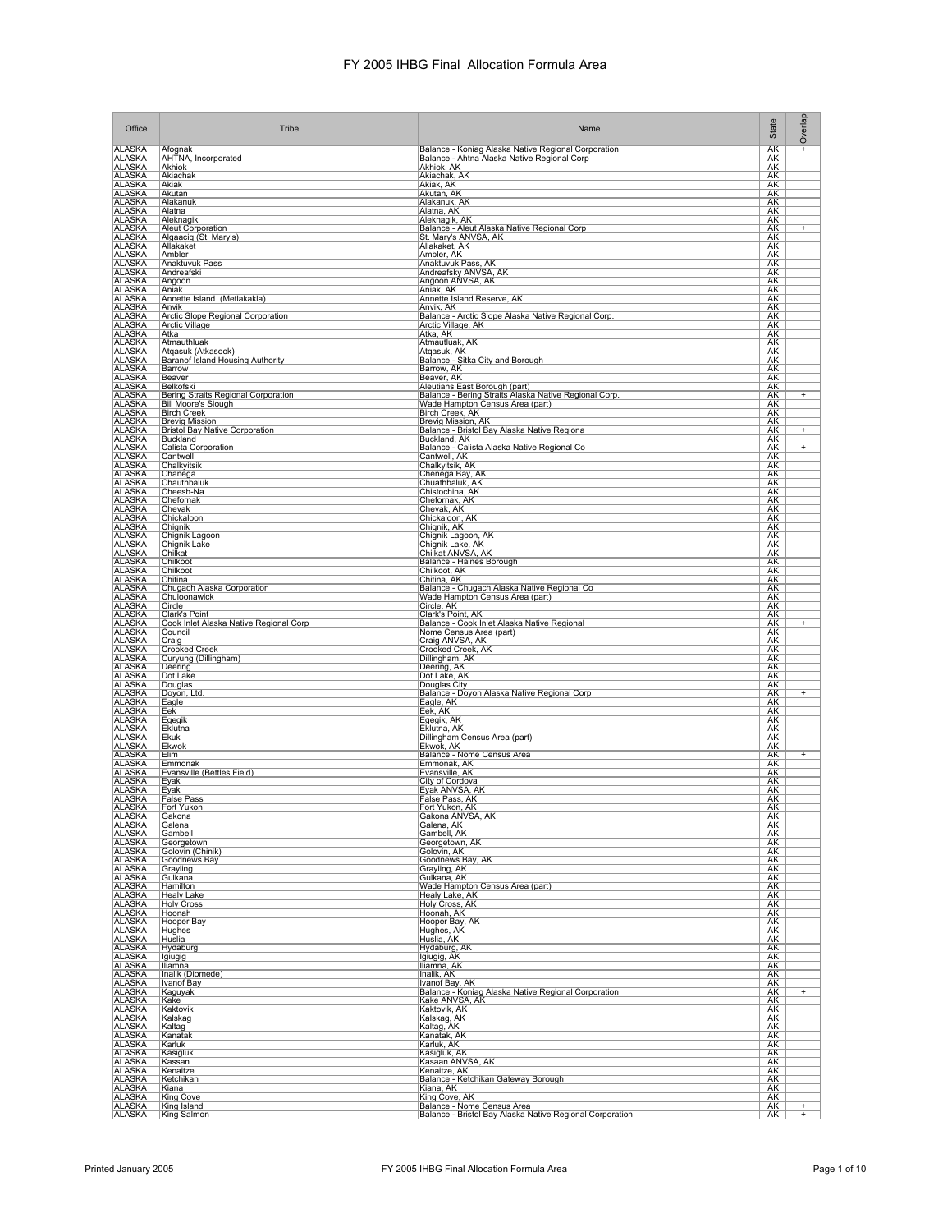| Office                                                                       | Tribe                                                             | Name                                                                                               | State                  | Overlap        |
|------------------------------------------------------------------------------|-------------------------------------------------------------------|----------------------------------------------------------------------------------------------------|------------------------|----------------|
| <b>ALASKA</b><br><b>ALASKA</b>                                               | Afognak<br>AHTNA, Incorporated                                    | Balance - Koniag Alaska Native Regional Corporation<br>Balance - Ahtna Alaska Native Regional Corp | <b>AK</b><br>AK        | $\ddot{}$      |
| <b>ALASKA</b><br><b>ALASKA</b>                                               | Akhiok<br>Akiachak                                                | Akhiok, AK<br>Akiachak, AK                                                                         | AK<br>AK               |                |
| <b>ALASKA</b><br><b>ALASKA</b>                                               | Akiak                                                             | Akiak, AK<br>Akutan, AK                                                                            | ΑK                     |                |
| <b>ALASKA</b>                                                                | Akutan<br>Alakanuk                                                | Alakanuk, AK                                                                                       | <u>АК</u><br><b>AK</b> |                |
| <u>ALASKA</u><br><b>ALASKA</b>                                               | Alatna<br>Aleknagik                                               | Alatna, AK<br>Aleknagik, AK                                                                        | AK<br>AK               |                |
| <b>ALASKA</b><br><b>ALASKA</b>                                               | <b>Aleut Corporation</b><br>Algaaciq (St. Mary's)                 | Balance - Aleut Alaska Native Regional Corp<br>St. Mary's ANVSA, AK                                | AK<br>AK               | $\overline{+}$ |
| ALASKA                                                                       | Allakaket<br>Ambler                                               | Allakaket, AK<br>Ambler, AK                                                                        | AK<br>AK               |                |
| <b>ALASKA</b><br><b>ALASKA</b>                                               | <b>Anaktuvuk Pass</b>                                             | Anaktuvuk Pass, AK                                                                                 | AK                     |                |
| ALASKA<br>ALASKA<br>ALASKA                                                   | Andreafski<br>Angoon                                              | Andreafsky ANVSA, AK<br>Angoon ANVSA, AK                                                           | AK<br>AK               |                |
| <b>ALASKA</b>                                                                | Aniak<br>Annette Island (Metlakakla)                              | Aniak, AK<br>Annette Island Reserve, AK                                                            | <b>AK</b><br>AK        |                |
| <b>ALASKA</b>                                                                | Anvik                                                             | Anvik, AK                                                                                          | AK<br>AK               |                |
| <b>ALASKA</b><br><b>ALASKA</b>                                               | Arctic Slope Regional Corporation<br><b>Arctic Village</b>        | Balance - Arctic Slope Alaska Native Regional Corp.<br>Arctic Village, AK                          | AK                     |                |
| <b>ALASKA</b><br><b>ALASKA</b><br>ALASKA                                     | Atka<br>Atmauthluak                                               | Atka, AK<br>Atmautluak, AK                                                                         | AK<br>AK               |                |
| <b>ALASKA</b>                                                                | Atqasuk (Atkasook)<br>Baranof Island Housing Authority            | Atgasuk, AK                                                                                        | AK<br><b>AK</b>        |                |
| <b>ALASKA</b><br><b>ALASKA</b>                                               | Barrow                                                            | Balance - Sitka City and Borough<br>Barrow, AK                                                     | <b>AK</b><br>AK        |                |
| <b>ALASKA</b>                                                                | Beaver<br>Belkofski                                               | Beaver, AK<br>Aleutians East Borough (part)                                                        | AK                     |                |
| <b>ALASKA</b><br><b>ALASKA</b>                                               | Bering Straits Regional Corporation<br><b>Bill Moore's Slough</b> | Balance - Bering Straits Alaska Native Regional Corp.<br>Wade Hampton Census Area (part)           | AK<br>AK               | $\ddot{}$      |
| <b>ALASKA</b><br><b>ALASKA</b>                                               | <b>Birch Creek</b><br><b>Brevig Mission</b>                       | Birch Creek, AK<br>Brevig Mission, AK                                                              | <u>АК</u><br><u>АК</u> |                |
| ALASKA<br>ALASKA                                                             | <b>Bristol Bay Native Corporation</b>                             | Balance - Bristol Bay Alaska Native Regiona                                                        | AK                     | $^{+}$         |
| <b>ALASKA</b>                                                                | Buckland<br>Calista Corporation                                   | Buckland, AK<br>Balance - Calista Alaska Native Regional Co                                        | AK<br><b>AK</b>        | $\ddot{}$      |
| <b>ALASKA</b><br><b>ALASKA</b>                                               | Cantwell<br>Chalkyitsik                                           | Cantwell, AK<br>Chalkyitsik, AK                                                                    | AK<br>AK               |                |
| <b>ALASKA</b><br><b>ALASKA</b>                                               | Chanega<br>Chauthbaluk                                            | Chenega Bay, AK<br>Chuathbaluk, AK                                                                 | AK<br>AK               |                |
| <b>ALASKA</b><br>ALASKA                                                      | Cheesh-Na                                                         | Chistochina, AK                                                                                    | AK                     |                |
| <b>ALASKA</b>                                                                | Chefornak<br>Chevak                                               | Chefornak, AK<br>Chevak, AK                                                                        | AK<br><b>AK</b>        |                |
| <b>ALASKA</b><br><b>ALASKA</b>                                               | Chickaloon<br>Chignik                                             | Chickaloon, AK<br>Chignik, AK                                                                      | <b>AK</b><br>AK        |                |
| <b>ALASKA</b>                                                                | Chignik Lagoon<br>Chignik Lake                                    | Chignik Lagoon, AK<br>Chignik Lake, AK                                                             | AK<br>AK               |                |
| ALASKA<br>ALASKA                                                             | Chilkat                                                           | Chilkat ANVSA, AK                                                                                  | AK                     |                |
| ALASKA<br>ALASKA<br>ALASKA                                                   | Chilkoot<br>Chilkoot                                              | Balance - Haines Borough<br>Chilkoot, AK                                                           | AK<br>AK               |                |
| <b>ALASKA</b>                                                                | Chitina<br>Chugach Alaska Corporation                             | Chitina, AK<br>Balance - Chugach Alaska Native Regional Co                                         | <b>AK</b><br>AK        |                |
| <b>ALASKA</b><br><b>ALASKA</b>                                               | Chuloonawick<br>Circle                                            | Wade Hampton Census Area (part)<br>Circle, AK                                                      | AK<br>AK               |                |
| <b>ALASKA</b>                                                                | Clark's Point                                                     | Clark's Point, AK                                                                                  | AK                     |                |
| <b>ALASKA</b><br><b>ALASKA</b>                                               | Cook Inlet Alaska Native Regional Corp<br>Council                 | Balance - Cook Inlet Alaska Native Regional<br>Nome Census Area (part)                             | AK<br><u>АК</u>        | $+$            |
| <b>ALASKA</b><br><b>ALASKA</b>                                               | Craig<br><b>Crooked Creek</b>                                     | Craig ANVSA, AK<br>Crooked Creek, AK                                                               | AK<br>AK               |                |
| <b>ALASKA</b><br><b>ALASKA</b>                                               | Curyung (Dillingham)<br>Deering                                   | Dillingham, AK<br>Deering, AK                                                                      | AK<br><b>AK</b>        |                |
| <b>ALASKA</b>                                                                | Dot Lake                                                          | Dot Lake, AK                                                                                       | AK                     |                |
| <b>ALASKA</b><br><b>ALASKA</b>                                               | Douglas<br>Doyon, Ltd.                                            | Douglas City<br>Balance - Doyon Alaska Native Regional Corp                                        | AK<br>AK               | $^{+}$         |
| <b>ALASKA</b><br><b>ALASKA</b>                                               | Eagle<br>Eek                                                      | Eagle, AK<br>Eek, AK                                                                               | AK<br>AK               |                |
| <b>ALASKA</b><br><b>ALASKA</b>                                               | Egegik<br>Eklutna                                                 | Egegik, AK<br>Eklutna, AK                                                                          | AK<br><b>AK</b>        |                |
| <b>ALASKA</b>                                                                | Ekuk                                                              | Dillingham Census Area (part)                                                                      | AK                     |                |
| <b>ALASKA</b><br><b>ALASKA</b>                                               | Ekwok<br>Elim                                                     | Ekwok, AK<br>Balance - Nome Census Area                                                            | AK<br>AK               | $+$            |
| <b>ALASKA</b><br><b>ALASKA</b>                                               | Emmonak<br>Evansville (Bettles Field)                             | Emmonak, AK<br>Evansville, AK                                                                      | AK<br>AK               |                |
| <b>ALASKA</b><br><b>ALASKA</b>                                               | Eyak<br>Evak                                                      | City of Cordova<br>Eyak ANVSA, AK                                                                  | AK<br>AK               |                |
| <b>ALASKA</b>                                                                | <b>False Pass</b>                                                 | False Pass, AK                                                                                     | AK                     |                |
| <b>ALASKA</b><br><b>ALASKA</b>                                               | Fort Yukon<br>Gakona                                              | <b>Fort Yukon, AK</b><br>Gakona ANVSA, AK                                                          | AK<br><b>AK</b>        |                |
| <b>ALASKA</b><br><b>ALASKA</b>                                               | Galena<br>Gambell                                                 | Galena, AK<br>Gambell, AK                                                                          | <b>AK</b><br>AK        |                |
|                                                                              | Georgetown<br>Golovin (Chinik)                                    | Georgetown, AK<br>Golovin, AK                                                                      | AΚ<br>AK.              |                |
| ALASKA<br>ALASKA<br>ALASKA<br>ALASKA<br>ALASKA<br>ALASKA<br>ALASKA           | Goodnews Bay                                                      | Goodnews Bay, AK                                                                                   | AK                     |                |
|                                                                              | Grayling<br>Gulkana                                               | Grayling, AK<br>Gulkana, AK                                                                        | AK<br>AK               |                |
| <b>ALASKA</b>                                                                | Hamilton<br><b>Healy Lake</b>                                     | Wade Hampton Census Area (part)<br>Healy Lake, AK                                                  | AK<br>AK               |                |
|                                                                              | <b>Holy Cross</b><br>Hoonah                                       | Holy Cross, AK<br>Hoonah, AK                                                                       | AK<br>AK               |                |
|                                                                              | <b>Hooper Bay</b>                                                 | Hooper Bay, AK                                                                                     | AK                     |                |
|                                                                              | Hughes<br>Huslia                                                  | Hughes, AK<br>Huslia, AK                                                                           | AK<br>AK               |                |
| ALASKA<br>ALASKA<br>ALASKA<br>ALASKA<br>ALASKA<br>ALASKA<br>ALASKA<br>ALASKA | Hydaburg<br>Igiugig                                               | Hydaburg, AK<br>Igiugig, AK                                                                        | <b>AK</b><br><b>AK</b> |                |
| <b>ALASKA</b>                                                                | Iliamna<br>Inalik (Diomede)                                       | Iliamna, AK<br>Inalik, AK                                                                          | AK<br>AK               |                |
| ALASKA<br>ALASKA<br>ALASKA                                                   | Ivanof Bay                                                        | Ivanof Bay, AK                                                                                     | AK                     |                |
|                                                                              | Kaguyak<br>Kake                                                   | Balance - Koniag Alaska Native Regional Corporation<br>Kake ANVSA, AK                              | AK<br>AK               | $+$            |
| ALASKA<br>ALASKA<br>ALASKA<br>ALASKA                                         | Kaktovik<br>Kalskag                                               | Kaktovik, AK<br>Kalskag, AK                                                                        | AK<br><b>AK</b>        |                |
| <b>ALASKA</b>                                                                | Kaltag<br>Kanatak                                                 | Kaltag, AK<br>Kanatak, AK                                                                          | <b>AK</b><br>AK        |                |
| <b>ALASKA</b>                                                                | Karluk                                                            | Karluk, AK                                                                                         | AK                     |                |
| <b>ALASKA</b>                                                                | Kasigluk<br>Kassan                                                | Kasigluk, AK<br>Kasaan ANVSA, AK                                                                   | AΚ<br>AK               |                |
| ALASKA<br>ALASKA<br><b>ALASKA</b>                                            | Kenaitze<br>Ketchikan                                             | Kenaitze, AK<br>Balance - Ketchikan Gateway Borough                                                | AK<br><b>AK</b>        |                |
| <b>ALASKA</b><br><b>ALASKA</b>                                               | Kiana<br>King Cove                                                | Kiana, AK<br>King Cove, AK                                                                         | AK<br><b>AK</b>        |                |
| <b>ALASKA</b>                                                                | King Island                                                       | Balance - Nome Census Area                                                                         | <b>AK</b>              | $\ddot{}$      |
| ALASKA                                                                       | King Salmon                                                       | Balance - Bristol Bay Alaska Native Regional Corporation                                           | AK                     | $^{+}$         |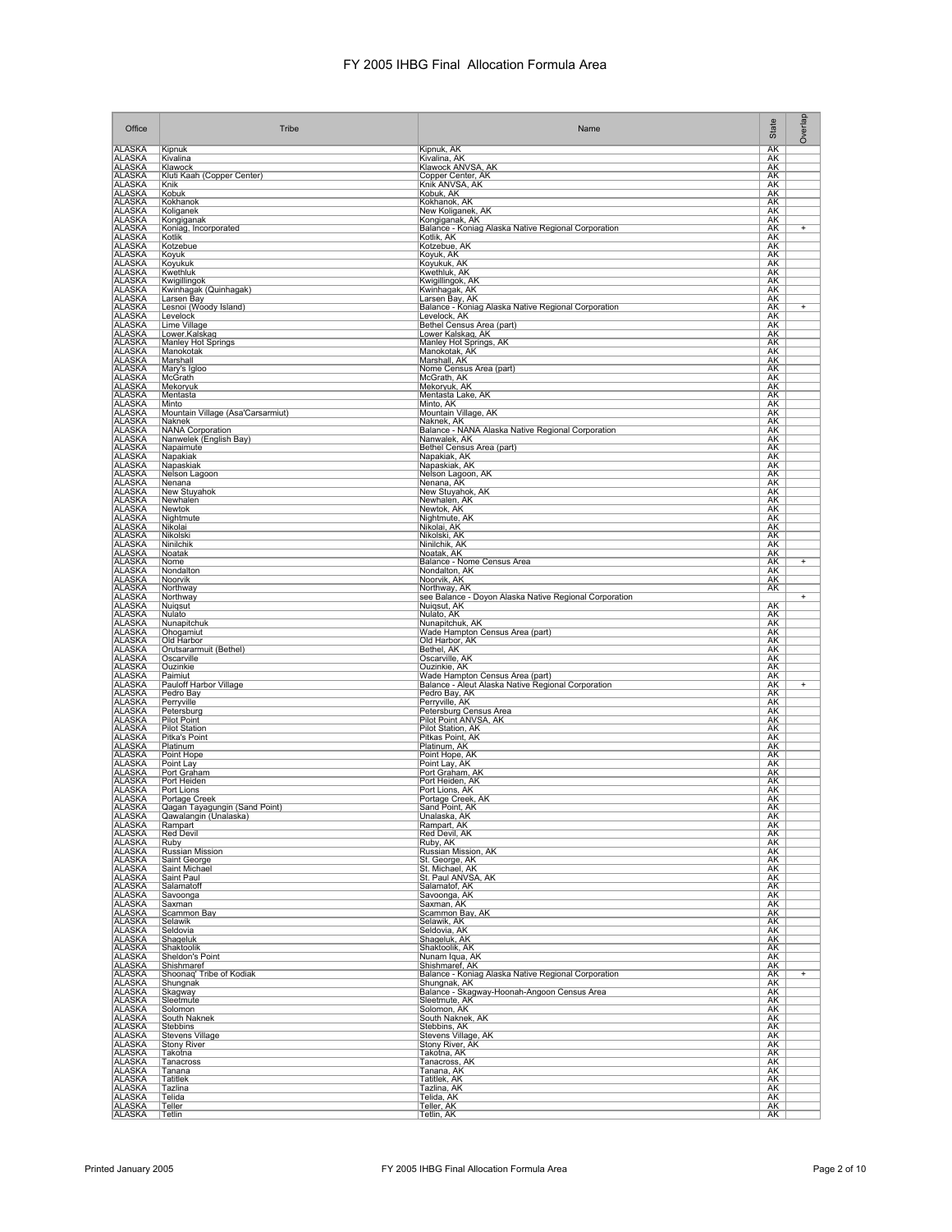| Office                         | Tribe                             | Name                                                                   | State     | Overlap        |
|--------------------------------|-----------------------------------|------------------------------------------------------------------------|-----------|----------------|
| <b>ALASKA</b>                  | Kipnuk                            | Kipnuk, AK                                                             | <b>AK</b> |                |
| <b>ALASKA</b>                  | Kivalina                          | Kivalina, AK                                                           | AK        |                |
| <b>ALASKA</b>                  | Klawock                           | Klawock ANVSA, AK                                                      | AK        |                |
| <b>ALASKA</b>                  | Kluti Kaah (Copper Center)        | Copper Center, AK                                                      | AK        |                |
| <b>ALASKA</b>                  | Knik                              | Knik ANVSA, AK                                                         | AΚ        |                |
| <b>ALASKA</b>                  | Kobuk                             | Kobuk, AK                                                              | AK        |                |
| <b>ALASKA</b>                  | Kokhanok                          | Kokhanok, AK                                                           | AK        |                |
| <b>ALASKA</b>                  | Koliganek                         | New Koliganek, AK                                                      | AK        |                |
| <b>ALASKA</b>                  | Kongiganak                        | Kongiganak, AK                                                         | AK        |                |
| <b>ALASKA</b>                  | Koniag, Incorporated              | Balance - Koniag Alaska Native Regional Corporation                    | AK        | $\overline{+}$ |
| <b>ALASKA</b>                  | Kotlik                            | Kotlik, AK                                                             | AK        |                |
| <b>ALASKA</b>                  | Kotzebue                          | Kotzebue, AK                                                           | AK        |                |
| <b>ALASKA</b>                  | Koyuk                             | Koyuk, AK                                                              | AΚ        |                |
| <b>ALASKA</b>                  | Koyukuk                           | Koyukuk, AK                                                            | AK        |                |
| <b>ALASKA</b>                  | Kwethluk                          | Kwethluk, AK                                                           | AK        |                |
| <b>ALASKA</b>                  | Kwigillingok                      | Kwigillingok, AK                                                       | AK        |                |
| <b>ALASKA</b>                  | Kwinhagak (Quinhagak)             | Kwinhagak, AK                                                          | AK        |                |
| <b>ALASKA</b>                  | Larsen Bay                        | Larsen Bay, AK                                                         | AK        | $\overline{+}$ |
| <b>ALASKA</b>                  | Lesnoi (Woody Island)             | Balance - Koniag Alaska Native Regional Corporation                    | AK        |                |
| <b>ALASKA</b>                  | Levelock                          | Levelock, AK                                                           | AK        |                |
| <b>ALASKA</b>                  | Lime Village                      | Bethel Census Area (part)                                              | AΚ        |                |
| <b>ALASKA</b>                  | Lower.Kalskag                     | Lower Kalskag, AK                                                      | AK        |                |
| <b>ALASKA</b><br><b>ALASKA</b> | Manley Hot Springs<br>Manokotak   | Manley Hot Springs, AK<br>Manokotak, AK                                | AK<br>AK  |                |
| <b>ALASKA</b>                  | Marshall                          | Marshall, AK                                                           | AK        |                |
| <b>ALASKA</b>                  | Mary's Igloo                      | Nome Census Area (part)                                                | AK        |                |
| <b>ALASKA</b>                  | McGrath                           | McGrath, AK                                                            | AK        |                |
| <b>ALASKA</b>                  | Mekoryuk                          | Mekoryuk, AK                                                           | AK        |                |
| <b>ALASKA</b>                  | Mentasta                          | Mentasta Lake, AK                                                      | AK        |                |
| <b>ALASKA</b>                  | Minto                             | Minto, AK                                                              | AΚ        |                |
| <b>ALASKA</b>                  | Mountain Village (Asa'Carsarmiut) | Mountain Village, AK                                                   | AK.       |                |
| <b>ALASKA</b>                  | Naknek                            | Naknek, AK                                                             | AK        |                |
| <b>ALASKA</b>                  | <b>NANA Corporation</b>           | Balance - NANA Alaska Native Regional Corporation                      | AK        |                |
| <b>ALASKA</b>                  | Nanwelek (English Bay)            | Nanwalek, AK                                                           | AΚ        |                |
| <b>ALASKA</b>                  | Napaimute                         | Bethel Census Area (part)                                              | AK        |                |
| <b>ALASKA</b>                  | Napakiak                          | Napakiak, AK                                                           | AK        |                |
| <b>ALASKA</b>                  | Napaskiak                         | Napaskiak, AK                                                          | AK        |                |
| <b>ALASKA</b>                  | Nelson Lagoon                     | Nelson Lagoon, AK                                                      | AΚ        |                |
| <b>ALASKA</b>                  | Nenana                            | Nenana, AK                                                             | AK        |                |
| <b>ALASKA</b>                  | New Stuyahok                      | New Stuyahok, AK                                                       | AK        |                |
| <b>ALASKA</b>                  | Newhalen                          | Newhalen, AK                                                           | AK        |                |
| <b>ALASKA</b>                  | Newtok                            | Newtok, AK                                                             | AK        |                |
| <b>ALASKA</b>                  | Nightmute                         | Nightmute, AK                                                          | AK        |                |
| <b>ALASKA</b>                  | Nikolai                           | Nikolai, AK                                                            | <b>AK</b> |                |
| <b>ALASKA</b>                  | Nikolski                          | Nikolski, AK                                                           | AK        |                |
| <b>ALASKA</b>                  | Ninilchik                         | Ninilchik, AK                                                          | AΚ        |                |
| <b>ALASKA</b>                  | Noatak                            | Noatak, AK                                                             | AK        |                |
| <b>ALASKA</b>                  | Nome                              | Balance - Nome Census Area                                             | AK        | $^{+}$         |
| <b>ALASKA</b>                  | Nondalton                         | Nondalton, AK                                                          | AK        |                |
| <b>ALASKA</b>                  | Noorvik                           | Noorvik, AK                                                            | AΚ        |                |
| <b>ALASKA</b><br><b>ALASKA</b> | Northway<br>Northway              | Northway, AK<br>see Balance - Doyon Alaska Native Regional Corporation | <b>AK</b> | $\overline{+}$ |
| <b>ALASKA</b>                  | Nuigsut                           | Nuigsut, AK                                                            | AK        |                |
| ALASKA                         | Nulato                            | Nulato, AK                                                             | AK        |                |
| <b>ALASKA</b>                  | Nunapitchuk                       | Nunapitchuk, AK                                                        | AΚ        |                |
| <b>ALASKA</b>                  | Ohogamiut                         | Wade Hampton Census Area (part)                                        | <u>АК</u> |                |
| <b>ALASKA</b>                  | Old Harbor                        | Old Harbor, AK                                                         | AK        |                |
| <b>ALASKA</b>                  | Orutsararmuit (Bethel)            | Bethel, AK                                                             | AK        |                |
| <b>ALASKA</b>                  | Oscarville                        | Oscarville, AK                                                         | AΚ        |                |
| ALASKA                         | Ouzinkie                          | Ouzinkie, AK                                                           | AK        |                |
| <b>ALASKA</b>                  | Paimiut                           | Wade Hampton Census Area (part)                                        | AK        |                |
| <b>ALASKA</b>                  | Pauloff Harbor Village            | Balance - Aleut Alaska Native Regional Corporation                     | AK        | $\ddot{}$      |
| <b>ALASKA</b>                  | Pedro Bay                         | Pedro Bay, AK                                                          | AΚ        |                |
| <b>ALASKA</b>                  | Perryville                        | Perryville, AK                                                         | AK        |                |
| <b>ALASKA</b>                  | Petersburg                        | Petersburg Census Area                                                 | AK        |                |
| <b>ALASKA</b>                  | <b>Pilot Point</b>                | Pilot Point ANVSA, AK                                                  | AK        |                |
| <b>ALASKA</b>                  | <b>Pilot Station</b>              | Pilot Station, AK                                                      | AK        |                |
| <b>ALASKA</b>                  | Pitka's Point                     | Pitkas Point, AK                                                       | <b>AK</b> |                |
| <b>ALASKA</b>                  | Platinum                          | Platinum, AK                                                           | AK        |                |
| <b>ALASKA</b>                  | Point Hope                        | Point Hope, AK                                                         | AK        |                |
| <b>ALASKA</b>                  | Point Lay                         | Point Lay, AK                                                          | AΚ        |                |
| <b>ALASKA</b>                  | Port Graham                       | Port Graham, AK                                                        | AK        |                |
| <b>ALASKA</b>                  | Port Heiden                       | Port Heiden, AK                                                        | AK        |                |
| <b>ALASKA</b>                  | Port Lions                        | Port Lions, AK                                                         | AK        |                |
| <b>ALASKA</b>                  | Portage Creek                     | Portage Creek, AK                                                      | AΚ        |                |
| <b>ALASKA</b>                  | Qagan Tayagungin (Sand Point)     | Sand Point, AK                                                         | AK        |                |
| <b>ALASKA</b>                  | Qawalangin (Unalaska)             | Unalaska, AK                                                           | AΚ        |                |
| <b>ALASKA</b>                  | Rampart                           | Rampart, AK                                                            | АK        |                |
| <b>ALASKA</b>                  | <b>Red Devil</b>                  | Red Devil, AK                                                          | AK        |                |
| ALASKA                         | Ruby                              | Ruby, AK                                                               | AK        |                |
| <b>ALASKA</b>                  | Russian Mission                   | Russian Mission, AK                                                    | <u>AK</u> |                |
| <b>ALASKA</b>                  | Saint George                      | St. George, AK                                                         | AK        |                |
| <b>ALASKA</b>                  | Saint Michael                     | St. Michael, AK                                                        | AK        |                |
| <b>ALASKA</b>                  | Saint Paul                        | St. Paul ANVSA, AK                                                     | AΚ        |                |
| <b>ALASKA</b>                  | Salamatoff                        | Salamatof, AK                                                          | AK        |                |
| <b>ALASKA</b>                  | Savoonga                          | Savoonga, AK                                                           | AK        |                |
| <b>ALASKA</b>                  | Saxman                            | Saxman, AK                                                             | AK        |                |
| <b>ALASKA</b>                  | <b>Scammon Bay</b>                | Scammon Bay, AK                                                        | AK        |                |
| <b>ALASKA</b>                  | Selawik                           | Selawik, AK                                                            | <b>AK</b> |                |
| <b>ALASKA</b>                  | Seldovia                          | Seldovia, AK                                                           | AK        |                |
| <b>ALASKA</b><br><b>ALASKA</b> | Shageluk<br>Shaktoolik            | Shageluk, AK<br>Shaktoolik, AK                                         | AK<br>AK  |                |
| <b>ALASKA</b>                  | Sheldon's Point<br>Shishmaref     | Nunam Iqua, AK<br>Shishmaref, AK                                       | AK<br>AK  |                |
| ALASKA<br>ALASKA<br>ALASKA     | Shoonag' Tribe of Kodiak          | Balance - Koniag Alaska Native Regional Corporation                    | AK        | $+$            |
| <b>ALASKA</b>                  | Shungnak<br>Skagway               | Shungnak, AK<br>Balance - Skagway-Hoonah-Angoon Census Area            | AK<br>AK  |                |
| <b>ALASKA</b>                  | Sleetmute                         | Sleetmute, AK                                                          | AK        |                |
| <b>ALASKA</b>                  | Solomon                           | Solomon, AK                                                            | AK        |                |
| <b>ALASKA</b>                  | South Naknek                      | South Naknek, AK                                                       | AK        |                |
| <b>ALASKA</b>                  | Stebbins                          | Stebbins, AK                                                           | AK        |                |
| <b>ALASKA</b>                  | <b>Stevens Village</b>            | Stevens Village, AK                                                    | AK        |                |
| <b>ALASKA</b>                  | <b>Stony River</b>                | Stony River, AK                                                        | AK        |                |
| <b>ALASKA</b>                  | Takotna                           | Takotna, AK                                                            | AK        |                |
| <b>ALASKA</b>                  | Tanacross                         | Tanacross, AK                                                          | AΚ        |                |
| <b>ALASKA</b>                  | Tanana                            | Tanana, AK                                                             | AK        |                |
| <b>ALASKA</b>                  | <b>Tatitlek</b>                   | Tatitlek, AK                                                           | AK        |                |
| <b>ALASKA</b>                  | Tazlina                           | Tazlina, AK                                                            | AK        |                |
| <b>ALASKA</b>                  | Telida                            | Telida, AK                                                             | <u>АК</u> |                |
| <b>ALASKA</b>                  | Teller                            | Teller, AK                                                             | AK        |                |
| <b>ALASKA</b>                  | $ T$ etlin                        | Tetlin, AK                                                             | AK        |                |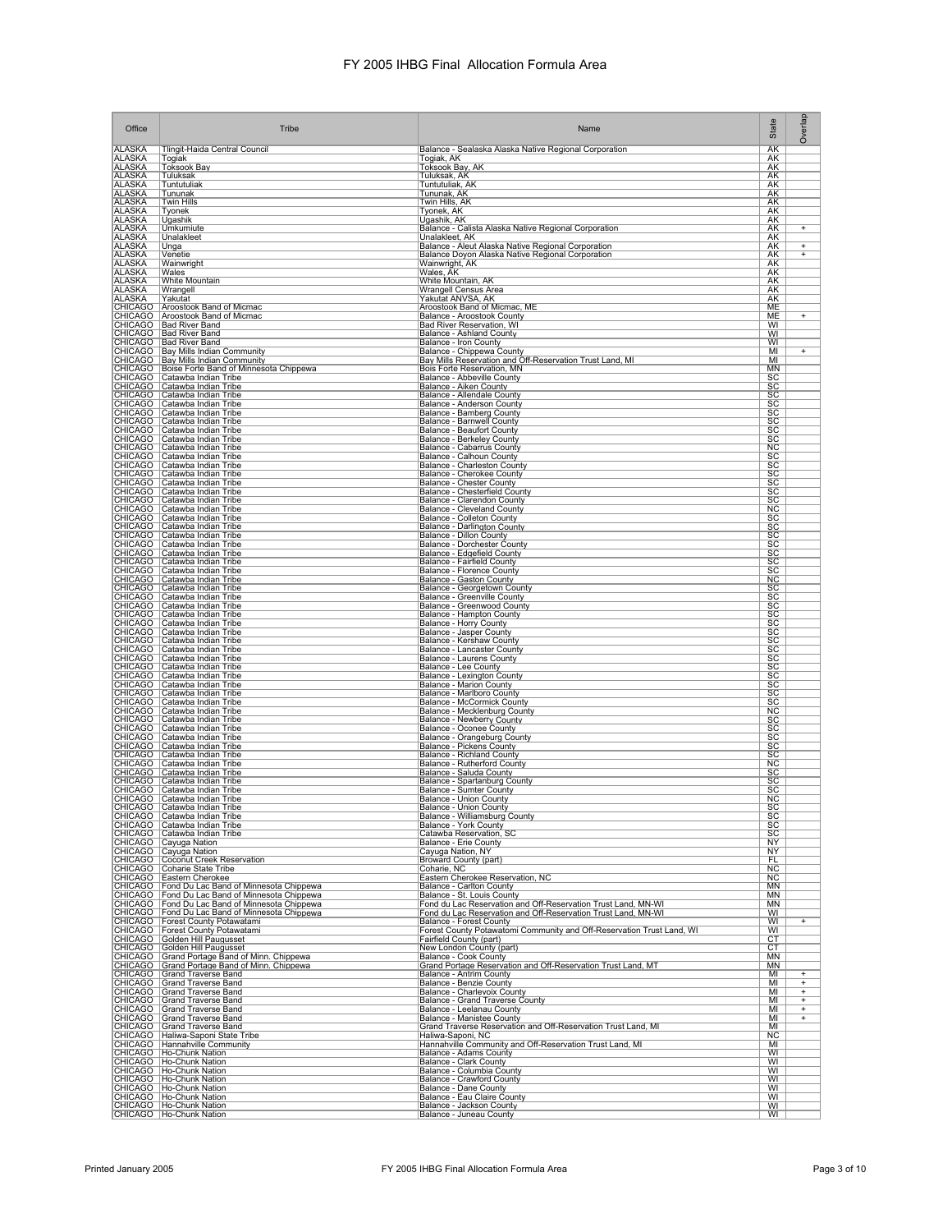| Office                         | Tribe                                                                                                                                                                                        | Name                                                                                                                           | State                               | Overlap                          |
|--------------------------------|----------------------------------------------------------------------------------------------------------------------------------------------------------------------------------------------|--------------------------------------------------------------------------------------------------------------------------------|-------------------------------------|----------------------------------|
| <b>ALASKA</b>                  | Tlingit-Haida Central Council                                                                                                                                                                | Balance - Sealaska Alaska Native Regional Corporation                                                                          | <b>AK</b>                           |                                  |
| <b>ALASKA</b><br>ALASKA        | Togiak<br><b>Toksook Bay</b>                                                                                                                                                                 | Togiak, AK<br>Toksook Bay, AK                                                                                                  | AK<br>AK                            |                                  |
| <b>ALASKA</b>                  | Tuluksak                                                                                                                                                                                     | Tuluksak, AK                                                                                                                   | AΚ                                  |                                  |
| <b>ALASKA</b><br><b>ALASKA</b> | Tuntutuliak<br>Tununak                                                                                                                                                                       | Tuntutuliak, AK<br>Tununak, AK                                                                                                 | <u>АК</u><br>AK                     |                                  |
| <b>ALASKA</b>                  | <b>Twin Hills</b>                                                                                                                                                                            | <u>Twin Hills, AK</u>                                                                                                          | AK                                  |                                  |
| <b>ALASKA</b><br><b>ALASKA</b> | Tyonek<br>Ugashik                                                                                                                                                                            | Tyonek, AK<br>Ugashik, AK                                                                                                      | AΚ<br>AK                            |                                  |
| ALASKA                         | Umkumiute                                                                                                                                                                                    | Balance - Calista Alaska Native Regional Corporation                                                                           | AK                                  | $\ddot{}$                        |
| <b>ALASKA</b><br><b>ALASKA</b> | Unalakleet<br>Unga                                                                                                                                                                           | Unalakleet, AK<br>Balance - Aleut Alaska Native Regional Corporation                                                           | AK<br>AΚ                            | $\ddot{}$                        |
| <b>ALASKA</b>                  | Venetie                                                                                                                                                                                      | Balance Doyon Alaska Native Regional Corporation                                                                               | AK<br>AK                            | $+$                              |
| <b>ALASKA</b><br><b>ALASKA</b> | Wainwright<br>Wales                                                                                                                                                                          | Wainwright, AK<br>Wales, AK<br>White Mountain, AK                                                                              | AK                                  |                                  |
| <b>ALASKA</b><br><b>ALASKA</b> | White Mountain<br>Wrangell                                                                                                                                                                   | <b>Wrangell Census Area</b>                                                                                                    | AK<br><b>AK</b>                     |                                  |
| <b>ALASKA</b>                  | Yakutat                                                                                                                                                                                      | Yakutat ANVSA, AK                                                                                                              | AK                                  |                                  |
|                                | CHICAGO   Aroostook Band of Micmac<br>CHICAGO   Aroostook Band of Micmac                                                                                                                     | Aroostook Band of Micmac, ME<br>Balance - Aroostook County                                                                     | ME<br>MЕ                            | $^{+}$                           |
|                                | CHICAGO   Bad River Band                                                                                                                                                                     | <b>Bad River Reservation, WI</b>                                                                                               | WI                                  |                                  |
|                                | CHICAGO Bad River Band<br>CHICAGO Bad River Band<br>CHICAGO Bay Mills Indian Community<br>CHICAGO Bay Mills Indian Community                                                                 | Balance - Ashland County                                                                                                       | WI<br>WI                            |                                  |
|                                |                                                                                                                                                                                              | Balance - Iron County<br>Balance - Chippewa County<br>Bay Mills Reservation and Off-Reservation Trust Land, MI                 | MI                                  | $\ddot{}$                        |
|                                | CHICAGO   Boise Forte Band of Minnesota Chippewa                                                                                                                                             | Bois Forte Reservation, MN                                                                                                     | MI<br><b>MN</b>                     |                                  |
|                                | CHICAGO   Catawba Indian Tribe                                                                                                                                                               | Balance - Abbeville County                                                                                                     | SC                                  |                                  |
|                                | CHICAGO Catawba Indian Tribe<br>CHICAGO Catawba Indian Tribe                                                                                                                                 | Balance - Aiken County<br>Balance - Allendale County                                                                           | SC<br><b>SC</b>                     |                                  |
|                                | CHICAGO Catawba Indian Tribe                                                                                                                                                                 | Balance - Anderson County                                                                                                      | <u>SC</u>                           |                                  |
|                                |                                                                                                                                                                                              | Balance - Bamberg County                                                                                                       | $rac{SC}{2}$                        |                                  |
|                                | CHICAGO Catawba Indian Tribe<br>CHICAGO Catawba Indian Tribe<br>CHICAGO Catawba Indian Tribe<br>CHICAGO Catawba Indian Tribe                                                                 | Balance - Barnwell County<br>Balance - Beaufort County                                                                         | $rac{\overline{SC}}{\overline{SC}}$ |                                  |
|                                | CHICAGO Catawba Indian Tribe                                                                                                                                                                 | Balance - Berkeley County<br>Balance - Cabarrus County                                                                         | <b>NC</b>                           |                                  |
|                                | CHICAGO   Catawba Indian Tribe                                                                                                                                                               | Balance - Calhoun County                                                                                                       | SC                                  |                                  |
|                                | CHICAGO Catawba Indian Tribe                                                                                                                                                                 | Balance - Charleston County<br>Balance - Cherokee County                                                                       | SC<br>SC                            |                                  |
|                                | CHICAGO Catawba Indian Tribe<br>CHICAGO Catawba Indian Tribe<br>CHICAGO Catawba Indian Tribe                                                                                                 | <b>Balance - Chester County</b>                                                                                                | $rac{SC}{SC}$                       |                                  |
|                                |                                                                                                                                                                                              | Balance - Chesterfield County<br>Balance - Clarendon County<br>Balance - Cleveland County                                      | SC                                  |                                  |
|                                | CHICAGO Catawba Indian Tribe<br>CHICAGO Catawba Indian Tribe                                                                                                                                 |                                                                                                                                | $\overline{\text{NC}}$              |                                  |
|                                | CHICAGO Catawba Indian Tribe<br>CHICAGO   Catawba Indian Tribe                                                                                                                               | <b>Balance - Colleton County</b><br><b>Balance - Darlington County</b>                                                         | SC<br>SC                            |                                  |
|                                | CHICAGO   Catawba Indian Tribe                                                                                                                                                               | <b>Balance - Dillon County</b>                                                                                                 | SC                                  |                                  |
|                                | CHICAGO Catawba Indian Tribe<br>CHICAGO Catawba Indian Tribe<br>CHICAGO Catawba Indian Tribe<br>CHICAGO Catawba Indian Tribe<br>CHICAGO Catawba Indian Tribe<br>CHICAGO Catawba Indian Tribe | Balance - Dorchester County                                                                                                    | SC                                  |                                  |
|                                |                                                                                                                                                                                              |                                                                                                                                | $rac{SC}{SC}$                       |                                  |
|                                |                                                                                                                                                                                              | Balance - Edgefield County<br>Balance - Fairfield County<br>Balance - Florence County<br>Balance - Gaston County               | SC<br>$\overline{\text{NC}}$        |                                  |
|                                | CHICAGO   Catawba Indian Tribe                                                                                                                                                               | Balance - Georgetown County                                                                                                    | SC                                  |                                  |
|                                | CHICAGO   Catawba Indian Tribe<br>CHICAGO Catawba Indian Tribe                                                                                                                               | Balance - Greenville County<br>Balance - Greenwood County                                                                      | SC<br>SC                            |                                  |
|                                | CHICAGO Catawba Indian Tribe                                                                                                                                                                 | Balance - Hampton County                                                                                                       | <b>SC</b>                           |                                  |
|                                | CHICAGO Catawba Indian Tribe<br>CHICAGO Catawba Indian Tribe                                                                                                                                 | <b>Balance - Horry County</b><br>Balance - Jasper County                                                                       | <u>SC</u><br><u>sc</u>              |                                  |
|                                | CHICAGO Catawba Indian Tribe<br>CHICAGO Catawba Indian Tribe                                                                                                                                 | Balance - Kershaw County                                                                                                       | $rac{SC}{SC}$                       |                                  |
|                                | CHICAGO Catawba Indian Tribe                                                                                                                                                                 | Balance - Lancaster County<br>Balance - Laurens County                                                                         | SC                                  |                                  |
|                                | CHICAGO Catawba Indian Tribe                                                                                                                                                                 | Balance - Lee County                                                                                                           | SC                                  |                                  |
|                                | CHICAGO   Catawba Indian Tribe<br>CHICAGO   Catawba Indian Tribe                                                                                                                             | Balance - Lexington County<br>Balance - Marion County                                                                          | SC<br>SC                            |                                  |
|                                |                                                                                                                                                                                              | Balance - Marlboro County                                                                                                      | SC                                  |                                  |
|                                | CHICAGO Catawba Indian Tribe<br>CHICAGO Catawba Indian Tribe<br>CHICAGO Catawba Indian Tribe<br>CHICAGO Catawba Indian Tribe<br>CHICAGO Catawba Indian Tribe<br>CHICAGO Catawba Indian Tribe | Balance - McCormick County                                                                                                     | $rac{SC}{NC}$                       |                                  |
|                                |                                                                                                                                                                                              | Balance - Mecklenburg County<br>Balance - Newberry County<br><b>Balance - Oconee County</b>                                    | <b>SC</b><br>$\overline{SC}$        |                                  |
|                                | CHICAGO   Catawba Indian Tribe                                                                                                                                                               | Balance - Orangeburg County                                                                                                    | SC                                  |                                  |
|                                | CHICAGO   Catawba Indian Tribe<br>CHICAGO   Catawba Indian Tribe                                                                                                                             | <b>Balance - Pickens County</b><br>Balance - Richland County                                                                   | SC<br>SC                            |                                  |
|                                | CHICAGO   Catawba Indian Tribe                                                                                                                                                               | <b>Balance - Rutherford County</b>                                                                                             | <b>NC</b>                           |                                  |
|                                | CHICAGO Catawba Indian Tribe<br>CHICAGO Catawba Indian Tribe                                                                                                                                 | Balance - Saluda County<br>Balance - Spartanburg County                                                                        | $rac{SC}{SC}$                       |                                  |
|                                | CHICAGO Catawba Indian Tribe<br>CHICAGO Catawba Indian Tribe                                                                                                                                 | Balance - Sumter County<br>Balance - Union County                                                                              | SC                                  |                                  |
|                                | CHICAGO   Catawba Indian Tribe                                                                                                                                                               | <b>Balance - Union County</b>                                                                                                  | NC<br>SC                            |                                  |
|                                | CHICAGO Catawba Indian Tribe                                                                                                                                                                 | Balance - Williamsburg County                                                                                                  | SC                                  |                                  |
|                                | CHICAGO Catawba Indian Tribe<br>CHICAGO Catawba Indian Tribe                                                                                                                                 | Balance - York County<br>Catawba Reservation, SC                                                                               | SC<br><b>SC</b>                     |                                  |
|                                | CHICAGO Cayuga Nation<br>CHICAGO Cayuga Nation<br>CHICAGO Coconut Creek Reservation<br>CHICAGO Coconut Creek Reservation<br>CHICAGO Eastern Cherokee                                         | Balance - Erie County                                                                                                          | NY                                  |                                  |
|                                |                                                                                                                                                                                              | Cayuqa Nation, NY<br>Broward County (part)                                                                                     | <b>NY</b><br>FL.                    |                                  |
|                                |                                                                                                                                                                                              | Coharie, NC                                                                                                                    | <b>NC</b>                           |                                  |
|                                | CHICAGO   Fond Du Lac Band of Minnesota Chippewa                                                                                                                                             | Eastern Cherokee Reservation, NC<br>Balance - Carlton County                                                                   | NC<br>MN                            |                                  |
|                                | CHICAGO   Fond Du Lac Band of Minnesota Chippewa                                                                                                                                             | Balance - St. Louis County                                                                                                     | <b>MN</b>                           |                                  |
|                                | CHICAGO   Fond Du Lac Band of Minnesota Chippewa<br>CHICAGO   Fond Du Lac Band of Minnesota Chippewa                                                                                         | Fond du Lac Reservation and Off-Reservation Trust Land, MN-WI<br>Fond du Lac Reservation and Off-Reservation Trust Land, MN-WI | MN<br>WI                            |                                  |
|                                | CHICAGO   Forest County Potawatami<br>CHICAGO   Forest County Potawatami<br>CHICAGO   Golden Hill Paugusset<br>CHICAGO   Golden Hill Paugusset                                               | <b>Balance - Forest County</b>                                                                                                 | WI                                  | $+$                              |
|                                |                                                                                                                                                                                              | Forest County Potawatomi Community and Off-Reservation Trust Land, WI<br>Fairfield County (part)                               | WI<br>CT                            |                                  |
|                                |                                                                                                                                                                                              | New London County (part)                                                                                                       | CT                                  |                                  |
|                                | CHICAGO Grand Portage Band of Minn. Chippewa<br>CHICAGO Grand Portage Band of Minn. Chippewa                                                                                                 | Balance - Cook County<br>Grand Portage Reservation and Off-Reservation Trust Land, MT                                          | <b>MN</b><br><b>MN</b>              |                                  |
|                                | CHICAGO Grand Traverse Band                                                                                                                                                                  | Balance - Antrim County                                                                                                        | MI                                  | +                                |
|                                | CHICAGO Grand Traverse Band                                                                                                                                                                  | Balance - Benzie County                                                                                                        | MI<br>MI                            | $\overline{+}$<br>Ŧ              |
|                                | CHICAGO Grand Traverse Band<br>CHICAGO Grand Traverse Band<br>CHICAGO Grand Traverse Band<br>CHICAGO Grand Traverse Band                                                                     | Balance - Charlevoix County<br>Balance - Grand Traverse County<br>Balance - Leelanau County                                    | MI                                  | $\overline{+}$                   |
|                                |                                                                                                                                                                                              | <b>Balance - Manistee County</b>                                                                                               | MI<br>MI                            | $\overline{+}$<br>$\overline{+}$ |
|                                | CHICAGO Grand Traverse Band                                                                                                                                                                  | Grand Traverse Reservation and Off-Reservation Trust Land, MI                                                                  | MI                                  |                                  |
|                                | CHICAGO   Haliwa-Saponi State Tribe<br>CHICAGO   Hannahville Community                                                                                                                       | Haliwa-Saponi, NC<br>Hannahville Community and Off-Reservation Trust Land, MI                                                  | <b>NC</b><br>MI                     |                                  |
|                                | CHICAGO   Ho-Chunk Nation                                                                                                                                                                    | Balance - Adams County                                                                                                         | WI                                  |                                  |
|                                | CHICAGO   Ho-Chunk Nation                                                                                                                                                                    | Balance - Clark County<br>Balance - Columbia County                                                                            | WI<br>WI                            |                                  |
|                                | CHICAGO Ho-Chunk Nation<br>CHICAGO Ho-Chunk Nation<br>CHICAGO Ho-Chunk Nation                                                                                                                | Balance - Crawford County<br>Balance - Dane County                                                                             | WI                                  |                                  |
|                                | CHICAGO Ho-Chunk Nation                                                                                                                                                                      | Balance - Eau Claire County                                                                                                    | WI<br>WI                            |                                  |
|                                | CHICAGO   Ho-Chunk Nation<br>CHICAGO   Ho-Chunk Nation                                                                                                                                       | Balance - Jackson County<br>Balance - Juneau County                                                                            | WI<br>WI                            |                                  |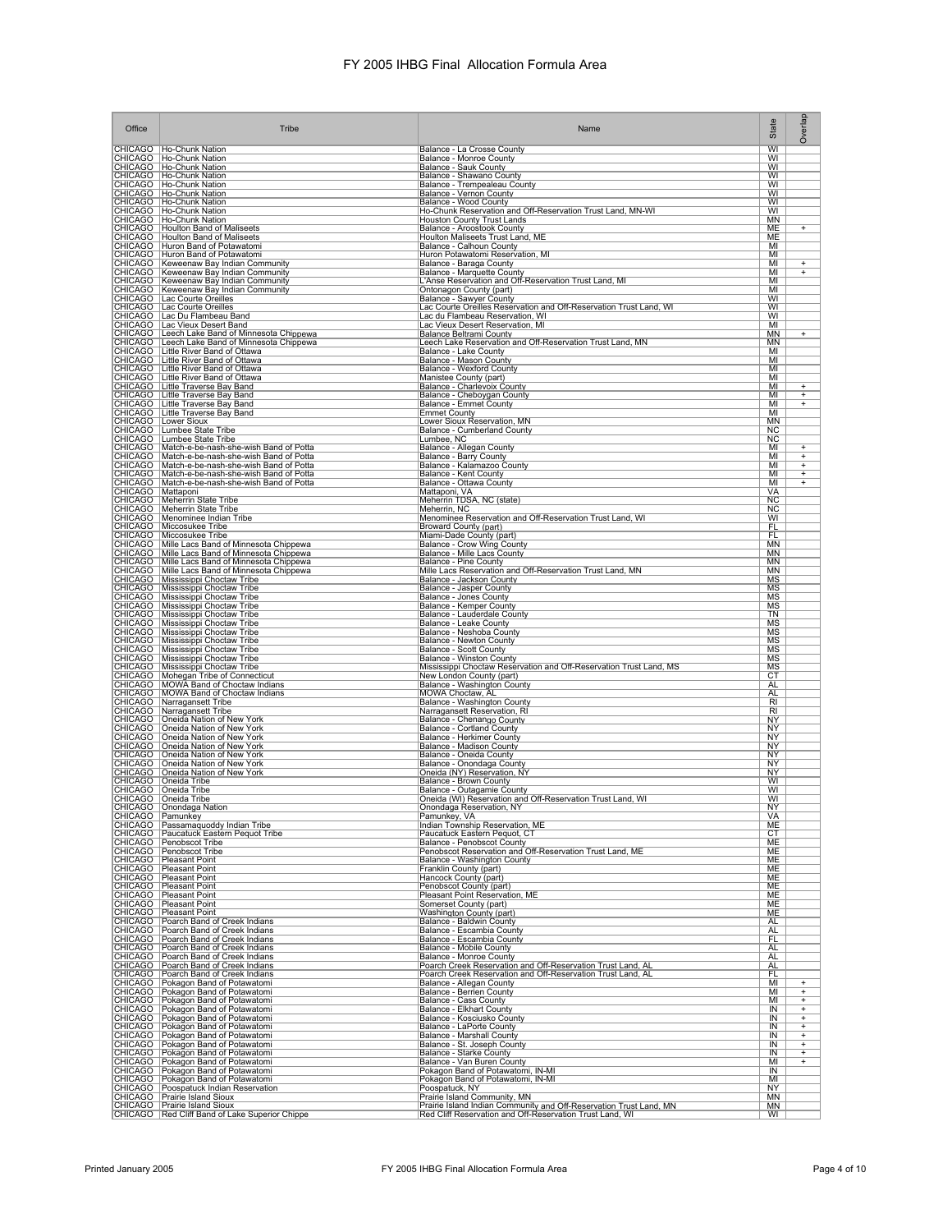| Office              | Tribe                                                                                                                                                                                                                                         | Name                                                                                                                           | State                               | Overlap                               |
|---------------------|-----------------------------------------------------------------------------------------------------------------------------------------------------------------------------------------------------------------------------------------------|--------------------------------------------------------------------------------------------------------------------------------|-------------------------------------|---------------------------------------|
|                     | CHICAGO   Ho-Chunk Nation<br>CHICAGO   Ho-Chunk Nation                                                                                                                                                                                        | Balance - La Crosse County<br>Balance - Monroe County                                                                          | $\overline{W}$<br>WI                |                                       |
|                     | CHICAGO   Ho-Chunk Nation                                                                                                                                                                                                                     | Balance - Sauk County                                                                                                          | WI<br>WI                            |                                       |
|                     | CHICAGO   Ho-Chunk Nation<br>CHICAGO   Ho-Chunk Nation                                                                                                                                                                                        | Balance - Shawano County<br>Balance - Trempealeau County                                                                       | WI                                  |                                       |
|                     | CHICAGO   Ho-Chunk Nation<br>CHICAGO   Ho-Chunk Nation                                                                                                                                                                                        | Balance - Vernon County<br>Balance - Wood County                                                                               | WI<br>WI                            |                                       |
|                     | CHICAGO   Ho-Chunk Nation<br>  CHICAGO   Ho-Chunk Nation                                                                                                                                                                                      | Ho-Chunk Reservation and Off-Reservation Trust Land, MN-WI<br><b>Houston County Trust Lands</b>                                | WI<br>ΜN                            |                                       |
|                     | CHICAGO   Houlton Band of Maliseets<br>CHICAGO   Houlton Band of Maliseets                                                                                                                                                                    | Balance - Aroostook County<br>Houlton Maliseets Trust Land, ME                                                                 | ME<br>ME                            | $\ddot{}$                             |
|                     | CHICAGO   Huron Band of Potawatomi<br>CHICAGO   Huron Band of Potawatomi                                                                                                                                                                      | Balance - Calhoun County<br>Huron Potawatomi Reservation, MI                                                                   | MI<br>MI                            |                                       |
|                     | CHICAGO   Keweenaw Bay Indian Community                                                                                                                                                                                                       | Balance - Baraga County                                                                                                        | MI                                  | $\ddot{}$                             |
|                     | CHICAGO   Keweenaw Bay Indian Community                                                                                                                                                                                                       | Balance - Marquette County<br>L'Anse Reservation and Off-Reservation Trust Land, MI                                            | MI<br>MI                            | $\overline{+}$                        |
|                     | CHICAGO Keweenaw Bay Indian Community<br>CHICAGO Keweenaw Bay Indian Community<br>CHICAGO Lac Courte Oreilles                                                                                                                                 | Ontonagon County (part)<br><b>Balance - Sawyer County</b>                                                                      | MI<br>WI                            |                                       |
|                     | CHICAGO   Lac Courte Oreilles<br>CHICAGO   Lac Du Flambeau Band                                                                                                                                                                               | Lac Courte Oreilles Reservation and Off-Reservation Trust Land, WI<br>Lac du Flambeau Reservation, WI                          | WI<br>WI                            |                                       |
|                     | CHICAGO   Lac Vieux Desert Band<br>CHICAGO   Leech Lake Band of Minnesota Chippewa                                                                                                                                                            | Lac Vieux Desert Reservation, MI<br><b>Balance Beltrami County</b>                                                             | MI<br><b>MN</b>                     | $^{+}$                                |
|                     | CHICAGO   Leech Lake Band of Minnesota Chippewa<br>  CHICAGO   Little River Band of Ottawa                                                                                                                                                    | Leech Lake Reservation and Off-Reservation Trust Land, MN                                                                      | MN<br>MI                            |                                       |
|                     | CHICAGO Little River Band of Ottawa                                                                                                                                                                                                           | Balance - Lake County<br>Balance - Mason County                                                                                | MI                                  |                                       |
|                     | CHICAGO Little River Band of Ottawa<br>CHICAGO   Little River Band of Ottawa                                                                                                                                                                  | <b>Balance - Wexford County</b><br>Manistee County (part)                                                                      | MI<br>MI                            |                                       |
|                     | CHICAGO Little Traverse Bay Band<br>CHICAGO Little Traverse Bay Band                                                                                                                                                                          | Balance - Charlevoix County<br>Balance - Cheboygan County                                                                      | MI<br>MI                            | $\ddot{}$<br>$^{+}$                   |
|                     | CHICAGO Little Traverse Bay Band<br>CHICAGO Little Traverse Bay Band                                                                                                                                                                          | Balance - Emmet County<br><b>Emmet County</b>                                                                                  | MI<br>MI                            | $^{+}$                                |
|                     | CHICAGO Lower Sioux                                                                                                                                                                                                                           | Lower Sioux Reservation, MN                                                                                                    | MN                                  |                                       |
|                     | CHICAGO Lumbee State Tribe<br>CHICAGO   Lumbee State Tribe                                                                                                                                                                                    | Balance - Cumberland County<br>Lumbee, NC                                                                                      | NC<br><b>NC</b>                     |                                       |
|                     | CHICAGO   Match-e-be-nash-she-wish Band of Potta<br>CHICAGO   Match-e-be-nash-she-wish Band of Potta                                                                                                                                          | Balance - Allegan County<br>Balance - Barry County                                                                             | MI<br>MI                            | $\ddot{}$<br>$\overline{+}$           |
|                     | CHICAGO   Match-e-be-nash-she-wish Band of Potta<br>CHICAGO   Match-e-be-nash-she-wish Band of Potta                                                                                                                                          | Balance - Kalamazoo County<br>Balance - Kent County                                                                            | MI<br>MI                            | $^{+}$<br>$\ddot{}$                   |
| CHICAGO   Mattaponi | CHICAGO   Match-e-be-nash-she-wish Band of Potta                                                                                                                                                                                              | Balance - Ottawa County<br>Mattaponi, VA                                                                                       | MI<br>VA                            | $+$                                   |
|                     | CHICAGO Meherrin State Tribe<br>CHICAGO Meherrin State Tribe                                                                                                                                                                                  | Meherrin TDSA, NC (state)                                                                                                      | <b>NC</b><br>$\overline{\text{NC}}$ |                                       |
|                     | CHICAGO   Menominee Indian Tribe                                                                                                                                                                                                              | Meherrin, NC<br>Menominee Reservation and Off-Reservation Trust Land, WI                                                       | WI                                  |                                       |
|                     | CHICAGO   Miccosukee Tribe<br>CHICAGO   Miccosukee Tribe                                                                                                                                                                                      | Broward County (part)<br>Miami-Dade County (part)                                                                              | <b>FL</b><br>FL                     |                                       |
|                     | CHICAGO   Mille Lacs Band of Minnesota Chippewa<br>CHICAGO   Mille Lacs Band of Minnesota Chippewa                                                                                                                                            | Balance - Crow Wing County<br>Balance - Mille Lacs County                                                                      | <b>MN</b><br>MN                     |                                       |
|                     | CHICAGO   Mille Lacs Band of Minnesota Chippewa<br>CHICAGO   Mille Lacs Band of Minnesota Chippewa<br>CHICAGO   Mille Lacs Band of Minnesota Chippewa<br>CHICAGO   Mississippi Choctaw Tribe<br>CHICAGO   Mississippi Choctaw Tribe<br>CHICAG | Balance - Pine County<br>Mille Lacs Reservation and Off-Reservation Trust Land, MN                                             | MN<br><b>MN</b>                     |                                       |
|                     |                                                                                                                                                                                                                                               | Balance - Jackson County                                                                                                       | ΜS<br>MS                            |                                       |
|                     |                                                                                                                                                                                                                                               | Balance - Jasper County<br>Balance - Jones County                                                                              | <b>MS</b>                           |                                       |
|                     | CHICAGO   Mississippi Choctaw Tribe<br>CHICAGO Mississippi Choctaw Tribe                                                                                                                                                                      | Balance - Kemper County<br>Balance - Lauderdale County                                                                         | MS<br>TN                            |                                       |
|                     | CHICAGO   Mississippi Choctaw Tribe<br>CHICAGO   Mississippi Choctaw Tribe                                                                                                                                                                    | Balance - Leake County<br>Balance - Neshoba County                                                                             | <b>MS</b><br><b>MS</b>              |                                       |
|                     | CHICAGO   Mississippi Choctaw Tribe                                                                                                                                                                                                           | Balance - Newton County<br>Balance - Scott County                                                                              | <b>MS</b><br><b>MS</b>              |                                       |
|                     | CHICAGO Mississippi Choctaw Tribe<br>CHICAGO Mississippi Choctaw Tribe<br>CHICAGO Mississippi Choctaw Tribe                                                                                                                                   | Balance - Winston County                                                                                                       | <b>MS</b>                           |                                       |
|                     | CHICAGO   Mohegan Tribe of Connecticut                                                                                                                                                                                                        | Mississippi Choctaw Reservation and Off-Reservation Trust Land, MS<br>New London County (part)                                 | <b>MS</b><br>CT                     |                                       |
|                     | CHICAGO   MOWA Band of Choctaw Indians<br>CHICAGO   MOWA Band of Choctaw Indians                                                                                                                                                              | Balance - Washington County<br>MOWA Choctaw, AL                                                                                | <b>AL</b><br>AL                     |                                       |
|                     | CHICAGO Narragansett Tribe<br>CHICAGO   Narragansett Tribe                                                                                                                                                                                    | Balance - Washington County<br>Narragansett Reservation, RI                                                                    | $R_{\parallel}$<br>RI               |                                       |
|                     | CHICAGO   Oneida Nation of New York<br>CHICAGO   Oneida Nation of New York                                                                                                                                                                    | Balance - Chenango County<br>Balance - Cortland County<br>Balance - Herkimer County                                            | NY<br><b>NY</b>                     |                                       |
|                     | CHICAGO   Oneida Nation of New York                                                                                                                                                                                                           |                                                                                                                                | NY                                  |                                       |
|                     | CHICAGO   Oneida Nation of New York<br>CHICAGO   Oneida Nation of New York                                                                                                                                                                    | <b>Balance - Madison County</b><br>Balance - Oneida County                                                                     | <b>NY</b><br><b>NY</b>              |                                       |
|                     | CHICAGO   Oneida Nation of New York<br>CHICAGO   Oneida Nation of New York                                                                                                                                                                    | Balance - Onondaga County<br>Oneida (NY) Reservation, NY                                                                       | ΝY<br><b>NY</b>                     |                                       |
|                     | CHICAGO   Oneida Tribe<br>CHICAGO   Oneida Tribe                                                                                                                                                                                              | Balance - Brown County<br>Balance - Outagamie County                                                                           | WI<br>WI                            |                                       |
|                     | CHICAGO Oneida Tribe<br>CHICAGO   Onondaga Nation                                                                                                                                                                                             | Oneida (WI) Reservation and Off-Reservation Trust Land, WI                                                                     | WI                                  |                                       |
| CHICAGO   Pamunkey  |                                                                                                                                                                                                                                               | Onondaga Reservation, NY<br>Pamunkey, VA                                                                                       | <b>NY</b><br>VA                     |                                       |
|                     | CHICAGO   Passamaquoddy Indian Tribe<br>CHICAGO   Paucatuck Eastern Pequot Tribe                                                                                                                                                              | Indian Township Reservation, ME<br>Paucatuck Eastern Pequot, CT                                                                | ME<br>СT                            |                                       |
|                     | CHICAGO   Penobscot Tribe<br>CHICAGO   Penobscot Tribe                                                                                                                                                                                        | Balance - Penobscot County<br>Penobscot Reservation and Off-Reservation Trust Land, ME                                         | ME<br>ME                            |                                       |
|                     | CHICAGO Pleasant Point                                                                                                                                                                                                                        | Balance - Washington County<br>Franklin County (part)                                                                          | ME<br>ME                            |                                       |
|                     | CHICAGO Pleasant Point<br>CHICAGO Pleasant Point<br>CHICAGO Pleasant Point                                                                                                                                                                    | Hancock County (part)<br>Penobscot County (part)                                                                               | ME                                  |                                       |
|                     | CHICAGO   Pleasant Point                                                                                                                                                                                                                      | Pleasant Point Reservation, ME                                                                                                 | ME<br><b>ME</b>                     |                                       |
|                     | CHICAGO Pleasant Point<br>CHICAGO Pleasant Point                                                                                                                                                                                              | Somerset County (part)<br>Washington County (part)                                                                             | ME<br>ME                            |                                       |
|                     | CHICAGO Poarch Band of Creek Indians<br>CHICAGO   Poarch Band of Creek Indians                                                                                                                                                                | Balance - Baldwin County<br>Balance - Escambia County                                                                          | AL<br><b>AL</b>                     |                                       |
|                     | CHICAGO Poarch Band of Creek Indians<br>CHICAGO Poarch Band of Creek Indians<br>CHICAGO Poarch Band of Creek Indians                                                                                                                          | Balance - Escambia County<br>Balance - Mobile County                                                                           | FL<br>AL                            |                                       |
|                     |                                                                                                                                                                                                                                               | <b>Balance - Monroe County</b>                                                                                                 | <b>AL</b><br><b>AL</b>              |                                       |
|                     | CHICAGO   Poarch Band of Creek Indians<br>CHICAGO   Poarch Band of Creek Indians                                                                                                                                                              | Poarch Creek Reservation and Off-Reservation Trust Land, AL<br>Poarch Creek Reservation and Off-Reservation Trust Land, AL     | FL                                  |                                       |
|                     | CHICAGO Pokagon Band of Potawatomi<br>CHICAGO Pokagon Band of Potawatomi                                                                                                                                                                      | Balance - Allegan County<br><b>Balance - Berrien County</b>                                                                    | MI<br>MI                            | $\ddot{}$<br>$\overline{\phantom{0}}$ |
|                     | CHICAGO Pokagon Band of Potawatomi<br>CHICAGO Pokagon Band of Potawatomi<br>CHICAGO Pokagon Band of Potawatomi<br>CHICAGO Pokagon Band of Potawatomi                                                                                          | Balance - Cass County<br>Balance - Elkhart County<br>Balance - Kosciusko County<br>Balance - LaPorte County                    | MI<br>IN                            | $\overline{+}$<br>$^{+}$              |
|                     |                                                                                                                                                                                                                                               |                                                                                                                                | IN<br>$\overline{\mathsf{IN}}$      | $\overline{+}$<br>Ŧ                   |
|                     | CHICAGO   Pokagon Band of Potawatomi                                                                                                                                                                                                          | <b>Balance - Marshall County</b>                                                                                               | IN                                  | $\overline{+}$                        |
|                     | CHICAGO   Pokagon Band of Potawatomi<br>CHICAGO   Pokagon Band of Potawatomi                                                                                                                                                                  | Balance - St. Joseph County<br>Balance - Starke County                                                                         | IN<br>IN                            | $\ddot{}$<br>$\ddot{}$                |
|                     | CHICAGO   Pokagon Band of Potawatomi<br>CHICAGO   Pokagon Band of Potawatomi                                                                                                                                                                  | Balance - Van Buren County<br>Pokagon Band of Potawatomi, IN-MI                                                                | MI<br>IN                            | $^{+}$                                |
|                     | CHICAGO   Pokagon Band of Potawatomi                                                                                                                                                                                                          | Pokagon Band of Potawatomi, IN-MI<br>Poospatuck, NY                                                                            | MI<br>ΝY                            |                                       |
|                     | CHICAGO   Poospatuck Indian Reservation<br>  CHICAGO   Prairie Island Sioux<br>CHICAGO   Prairie Island Sioux                                                                                                                                 | Prairie Island Community, MN                                                                                                   | <b>MN</b>                           |                                       |
|                     | CHICAGO   Red Cliff Band of Lake Superior Chippe                                                                                                                                                                                              | Prairie Island Indian Community and Off-Reservation Trust Land, MN<br>Red Cliff Reservation and Off-Reservation Trust Land, WI | MN<br>WI                            |                                       |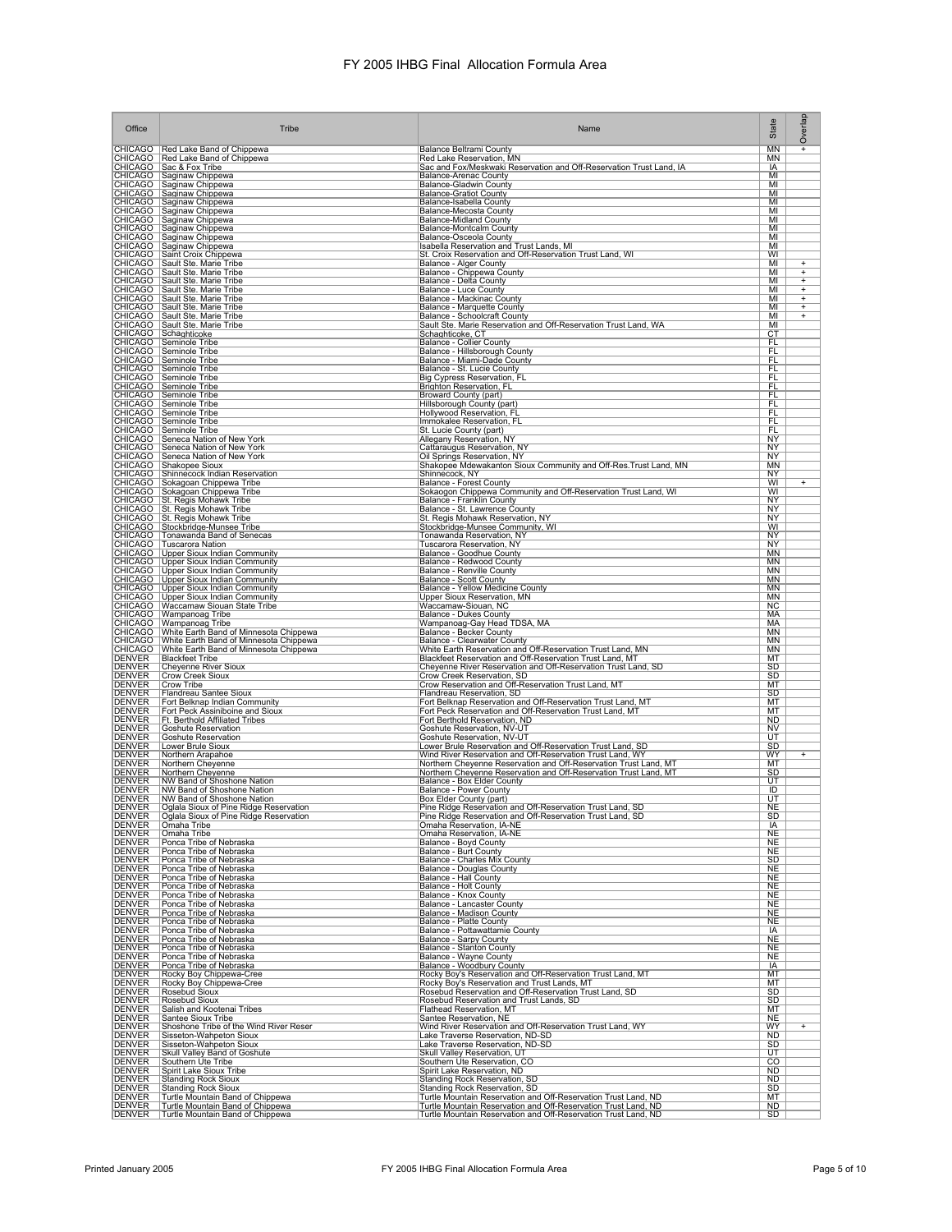| Office                                                                                                     | Tribe                                                                                                                                                                                                                                                  | Name                                                                                                                                                                                            | State                  | Overlap             |
|------------------------------------------------------------------------------------------------------------|--------------------------------------------------------------------------------------------------------------------------------------------------------------------------------------------------------------------------------------------------------|-------------------------------------------------------------------------------------------------------------------------------------------------------------------------------------------------|------------------------|---------------------|
|                                                                                                            | CHICAGO   Red Lake Band of Chippewa                                                                                                                                                                                                                    | <b>Balance Beltrami County</b>                                                                                                                                                                  | MN                     | $^{+}$              |
|                                                                                                            | CHICAGO   Red Lake Band of Chippewa<br>CHICAGO   Sac & Fox Tribe                                                                                                                                                                                       | Red Lake Reservation, MN<br>Sac and Fox/Meskwaki Reservation and Off-Reservation Trust Land, IA                                                                                                 | MN<br>IA               |                     |
|                                                                                                            |                                                                                                                                                                                                                                                        | <b>Balance-Arenac County</b><br><b>Balance-Gladwin County</b>                                                                                                                                   | MI<br>MI               |                     |
|                                                                                                            |                                                                                                                                                                                                                                                        | <b>Balance-Gratiot County</b><br>Balance-Isabella County                                                                                                                                        | MI<br>MI               |                     |
|                                                                                                            | CHICAGO Sacar For Chicago<br>CHICAGO Saginaw Chippewa<br>CHICAGO Saginaw Chippewa<br>CHICAGO Saginaw Chippewa<br>CHICAGO Saginaw Chippewa<br>CHICAGO Saginaw Chippewa<br>CHICAGO Saginaw Chippewa<br>CHICAGO Saginaw Chippewa<br>CHICAGO Saginaw Chipp | Balance-Mecosta County<br><b>Balance-Midland County</b>                                                                                                                                         | MI<br>MI               |                     |
|                                                                                                            |                                                                                                                                                                                                                                                        | Balance-Montcalm County<br>Balance-Osceola County                                                                                                                                               | MI<br>MI               |                     |
|                                                                                                            | CHICAGO Saginaw Chippewa<br>CHICAGO Saginaw Chippewa<br>CHICAGO Saginaw Chippewa<br>CHICAGO Sault Ste. Marie Tribe<br>CHICAGO Sault Ste. Marie Tribe<br>CHICAGO Sault Ste. Marie Tribe<br>CHICAGO Sault Ste. Marie Tribe                               | Isabella Reservation and Trust Lands, MI                                                                                                                                                        | MI                     |                     |
|                                                                                                            |                                                                                                                                                                                                                                                        | St. Croix Reservation and Off-Reservation Trust Land, WI                                                                                                                                        | WI<br>MI               | $\ddot{}$           |
|                                                                                                            |                                                                                                                                                                                                                                                        | Balance - Alger County<br>Balance - Chippewa County<br>Balance - Delta County                                                                                                                   | MI<br>MI               | $\ddot{}$<br>Ŧ      |
|                                                                                                            | CHICAGO   Sault Ste. Marie Tribe<br>CHICAGO   Sault Ste. Marie Tribe                                                                                                                                                                                   | <b>Balance - Luce County</b><br>Balance - Mackinac County                                                                                                                                       | MI<br>MI               | $^{+}$<br>$\ddot{}$ |
|                                                                                                            | CHICAGO Sault Ste. Marie Tribe<br>CHICAGO Sault Ste. Marie Tribe                                                                                                                                                                                       | Balance - Marquette County<br>Balance - Schoolcraft County                                                                                                                                      | MI<br>MI               | $\ddot{}$<br>$^{+}$ |
|                                                                                                            |                                                                                                                                                                                                                                                        | Sault Ste. Marie Reservation and Off-Reservation Trust Land, WA<br>Schaghticoke, CT                                                                                                             | MI<br>CT               |                     |
|                                                                                                            | CHICAGO Sault Ste. Marie Tribe<br>CHICAGO Schaghticoke<br>CHICAGO Seminole Tribe<br>CHICAGO Seminole Tribe                                                                                                                                             | Balance - Collier County<br>Balance - Hillsborough County                                                                                                                                       | FL<br><b>FL</b>        |                     |
|                                                                                                            | CHICAGO   Seminole Tribe                                                                                                                                                                                                                               | Balance - Miami-Dade County                                                                                                                                                                     | <b>FL</b>              |                     |
|                                                                                                            | CHICAGO   Seminole Tribe<br>CHICAGO   Seminole Tribe                                                                                                                                                                                                   | Balance - St. Lucie County<br>Big Cypress Reservation, FL                                                                                                                                       | FL<br>FL               |                     |
|                                                                                                            | CHICAGO   Seminole Tribe<br>CHICAGO Seminole Tribe                                                                                                                                                                                                     | <b>Brighton Reservation, FL</b><br>Broward County (part)                                                                                                                                        | FL<br><u>FL</u>        |                     |
|                                                                                                            | CHICAGO Seminole Tribe<br>CHICAGO Seminole Tribe<br>CHICAGO Seminole Tribe<br>CHICAGO Seminole Tribe                                                                                                                                                   | Hillsborough County (part)<br>Hollywood Reservation, FL                                                                                                                                         | FL<br>FL               |                     |
|                                                                                                            |                                                                                                                                                                                                                                                        | Immokalee Reservation, FL<br>St. Lucie County (part)                                                                                                                                            | FL<br>FL               |                     |
|                                                                                                            | CHICAGO   Seneca Nation of New York                                                                                                                                                                                                                    | Allegany Reservation, NY                                                                                                                                                                        | NY                     |                     |
|                                                                                                            | CHICAGO   Seneca Nation of New York<br>CHICAGO   Seneca Nation of New York                                                                                                                                                                             | Cattaraugus Reservation, NY<br>Oil Springs Reservation, NY                                                                                                                                      | NY<br>ΝY               |                     |
|                                                                                                            | CHICAGO Shakopee Sioux                                                                                                                                                                                                                                 | Shakopee Mdewakanton Sioux Community and Off-Res. Trust Land, MN<br>Shinnecock, NY                                                                                                              | MN<br><b>NY</b>        |                     |
|                                                                                                            | CHICAGO Shinnecock Indian Reservation<br>CHICAGO Sokagoan Chippewa Tribe<br>CHICAGO Sokagoan Chippewa Tribe<br>CHICAGO Sokagoan Chippewa Tribe<br>CHICAGO St. Regis Mohawk Tribe<br>CHICAGO St. Regis Mohawk Tribe                                     | Balance - Forest County<br>Sokaogon Chippewa Community and Off-Reservation Trust Land, WI                                                                                                       | WI<br>WI               | $\ddot{}$           |
|                                                                                                            |                                                                                                                                                                                                                                                        | Balance - Franklin County<br>Balance - St. Lawrence County                                                                                                                                      | <b>NY</b><br><b>NY</b> |                     |
|                                                                                                            | CHICAGO   St. Regis Mohawk Tribe                                                                                                                                                                                                                       | St. Regis Mohawk Reservation, NY<br>Stockbridge-Munsee Community, WI                                                                                                                            | NY<br>WI               |                     |
|                                                                                                            |                                                                                                                                                                                                                                                        | Tonawanda Reservation, NY                                                                                                                                                                       | NY                     |                     |
|                                                                                                            | CHICAGO Stockbridge-Munsee Tribe<br>CHICAGO Tonawanda Band of Senecas<br>CHICAGO Tonawanda Band<br>CHICAGO Tuscarora Nation<br>CHICAGO TUpper Sioux Indian Community<br>CHICAGO TUpper Sioux Indian Community<br>CHICAGO TUpper Sioux Indian Com       | Tuscarora Reservation, NY                                                                                                                                                                       | NY<br>ΜN               |                     |
|                                                                                                            |                                                                                                                                                                                                                                                        | Balance - Goodhue County<br>Balance - Redwood County<br>Balance - Renville County                                                                                                               | ΜN<br><b>MN</b>        |                     |
|                                                                                                            | CHICAGO   Upper Sioux Indian Community<br>CHICAGO   Upper Sioux Indian Community                                                                                                                                                                       | Balance - Scott County<br>Balance - Yellow Medicine County                                                                                                                                      | <b>MN</b><br><b>MN</b> |                     |
|                                                                                                            | CHICAGO   Upper Sioux Indian Community<br>CHICAGO   Waccamaw Siouan State Tribe                                                                                                                                                                        | Upper Sioux Reservation, MN<br>Waccamaw-Siouan, NC                                                                                                                                              | MN<br><b>NC</b>        |                     |
|                                                                                                            | Criticado Watcamiaw Sidami Sale Tibe<br>Criticado Wampanoa Tribe<br>Criticado Wampanoa Tribe<br>Criticado White Earth Band of Minnesota Chippewa<br>Criticado White Earth Band of Minnesota Chippewa<br>Criticado White Earth Band of Minneso          | <b>Balance - Dukes County</b>                                                                                                                                                                   | МA<br>МA               |                     |
|                                                                                                            |                                                                                                                                                                                                                                                        | Wampanoaq-Gay Head TDSA, MA<br>Balance - Becker County                                                                                                                                          | ΜN                     |                     |
|                                                                                                            |                                                                                                                                                                                                                                                        | <b>Balance - Clearwater County</b><br>White Earth Reservation and Off-Reservation Trust Land, MN                                                                                                | ΜN<br><b>MN</b>        |                     |
| <b>DENVER</b>                                                                                              | Cheyenne River Sioux                                                                                                                                                                                                                                   | Blackfeet Reservation and Off-Reservation Trust Land, MT<br>Cheyenne River Reservation and Off-Reservation Trust Land, SD                                                                       | MT<br>SD               |                     |
| DENVER<br>DENVER                                                                                           | Crow Creek Sioux<br>Crow Tribe                                                                                                                                                                                                                         | Crow Creek Reservation, SD<br>Crow Reservation and Off-Reservation Trust Land, MT                                                                                                               | SD<br>МT               |                     |
| <b>DENVER</b><br>DENVER                                                                                    | Flandreau Santee Sioux<br>Fort Belknap Indian Community                                                                                                                                                                                                | Flandreau Reservation, SD                                                                                                                                                                       | SD<br>MT               |                     |
| <b>DENVER</b><br><b>DENVER</b>                                                                             | Fort Peck Assiniboine and Sioux<br>Ft. Berthold Affiliated Tribes                                                                                                                                                                                      | Fort Belknap Reservation and Off-Reservation Trust Land, MT<br>Fort Peck Reservation and Off-Reservation Trust Land, MT<br>Fort Berthold Reservation, ND                                        | мт<br><b>ND</b>        |                     |
| <b>DENVER</b><br><b>DENVER</b>                                                                             | Goshute Reservation                                                                                                                                                                                                                                    | Goshute Reservation, NV-UT<br>Goshute Reservation, NV-UT                                                                                                                                        | <b>NV</b><br>UT        |                     |
| DENVER<br>DENVER                                                                                           | <b>Goshute Reservation</b><br>Lower Brule Sioux                                                                                                                                                                                                        | Lower Brule Reservation and Off-Reservation Trust Land, SD                                                                                                                                      | SD                     |                     |
| <b>DENVER</b><br>DENVER                                                                                    | Northern Arapahoe<br>Northern Cheyenne                                                                                                                                                                                                                 | Wind River Reservation and Off-Reservation Trust Land, WY<br>Northern Cheyenne Reservation and Off-Reservation Trust Land, MT                                                                   | WY<br>MT               | $^{+}$              |
| <b>DENVER</b>                                                                                              | Northern Cheyenne<br>NW Band of Shoshone Nation<br>NW Band of Shoshone Nation                                                                                                                                                                          | Northern Cheyenne Reservation and Off-Reservation Trust Land, MT                                                                                                                                | SD<br>UT               |                     |
| <b>DENVER</b><br><b>DENVER</b>                                                                             | NW Band of Shoshone Nation                                                                                                                                                                                                                             | Balance - Box Elder County<br>Balance - Power County<br>Box Elder County (part)                                                                                                                 | ID<br>UT               |                     |
| <b>DENVER</b>                                                                                              | Oglala Sioux of Pine Ridge Reservation<br>Oglala Sioux of Pine Ridge Reservation                                                                                                                                                                       | Pine Ridge Reservation and Off-Reservation Trust Land, SD<br>Pine Ridge Reservation and Off-Reservation Trust Land, SD                                                                          | <b>NE</b><br>SD        |                     |
|                                                                                                            | Omaha Tribe                                                                                                                                                                                                                                            | Omaha Reservation, IA-NE                                                                                                                                                                        | IA                     |                     |
| DENVER<br>DENVER<br>DENVER<br>DENVER<br>DENVER<br>DENVER<br>DENVER                                         | Omaha Tribe<br>Ponca Tribe of Nebraska                                                                                                                                                                                                                 | Omaha Reservation, IA-NE<br>Balance - Boyd County                                                                                                                                               | NE<br>NE               |                     |
|                                                                                                            | Ponca Tribe of Nebraska<br>Ponca Tribe of Nebraska                                                                                                                                                                                                     | Balance - Burt County<br>Balance - Charles Mix County                                                                                                                                           | NE<br><b>SD</b>        |                     |
|                                                                                                            | Ponca Tribe of Nebraska<br>Ponca Tribe of Nebraska                                                                                                                                                                                                     | Balance - Douglas County<br>Balance - Hall County                                                                                                                                               | <b>NE</b><br><b>NE</b> |                     |
|                                                                                                            | Ponca Tribe of Nebraska<br>Ponca Tribe of Nebraska                                                                                                                                                                                                     | Balance - Holt County<br>Balance - Knox County                                                                                                                                                  | <b>NE</b><br>NE        |                     |
|                                                                                                            | Ponca Tribe of Nebraska<br>Ponca Tribe of Nebraska                                                                                                                                                                                                     | <b>Balance - Lancaster County</b><br>Balance - Madison County                                                                                                                                   | <b>NE</b><br><b>NE</b> |                     |
|                                                                                                            | Ponca Tribe of Nebraska<br>Ponca Tribe of Nebraska                                                                                                                                                                                                     | Balance - Platte County<br>Balance - Pottawattamie County<br>Balance - Sarpy County                                                                                                             | <b>NE</b>              |                     |
|                                                                                                            | Ponca Tribe of Nebraska                                                                                                                                                                                                                                |                                                                                                                                                                                                 | IA<br><b>NE</b>        |                     |
| DENVER<br>DENVER<br>DENVER<br>DENVER<br>DENVER<br>DENVER<br>DENVER<br>DENVER<br>DENVER<br>DENVER<br>DENVER | Ponca Tribe of Nebraska<br>Ponca Tribe of Nebraska                                                                                                                                                                                                     | <b>Balance - Stanton County</b><br>Balance - Wayne County                                                                                                                                       | <b>NE</b><br><b>NE</b> |                     |
| DENVER<br>DENVER<br>DENVER<br>DENVER<br>DENVER<br>DENVER                                                   | Ponca Tribe of Nebraska                                                                                                                                                                                                                                | Balance - Woodbury County<br>Rocky Boy's Reservation and Off-Reservation Trust Land, MT                                                                                                         | IA<br>MT               |                     |
|                                                                                                            | Flocky Boy Chippewa-Cree<br>Rocky Boy Chippewa-Cree<br>Rosebud Sioux<br>Rosebud Sioux                                                                                                                                                                  | Rocky Boy's Reservation and Trust Lands, MT<br>Rocky Boy's Reservation and Trust Lands, MT<br>Rosebud Reservation and Off-Reservation Trust Land, SD<br>Rosebud Reservation and Trust Lands, SD | <b>MT</b><br><b>SD</b> |                     |
|                                                                                                            | Salish and Kootenai Tribes                                                                                                                                                                                                                             | Flathead Reservation, MT                                                                                                                                                                        | <b>SD</b><br>MT        |                     |
| <b>DENVER</b>                                                                                              | Santee Sioux Tribe<br>Shoshone Tribe of the Wind River Reser                                                                                                                                                                                           | Santee Reservation, NE<br>Wind River Reservation and Off-Reservation Trust Land, WY                                                                                                             | <b>NE</b><br>WY        | $^{+}$              |
| <b>DENVER</b>                                                                                              | Sisseton-Wahpeton Sioux                                                                                                                                                                                                                                | Lake Traverse Reservation, ND-SD                                                                                                                                                                | ND                     |                     |
|                                                                                                            | Sisseton-Wahpeton Sioux<br>Skull Valley Band of Goshute                                                                                                                                                                                                | Lake Traverse Reservation, ND-SD<br>Skull Valley Reservation, UT                                                                                                                                | SD<br>UT.              |                     |
| DENVER<br>DENVER<br>DENVER<br>DENVER<br>DENVER<br>DENVER                                                   | Southern Ute Tribe<br>Spirit Lake Sioux Tribe                                                                                                                                                                                                          | Southern Ute Reservation, CO<br>Spirit Lake Reservation, ND                                                                                                                                     | $\overline{CO}$<br>ND  |                     |
|                                                                                                            | <b>Standing Rock Sioux</b><br><b>Standing Rock Sioux</b>                                                                                                                                                                                               | Standing Rock Reservation, SD<br>Standing Rock Reservation, SD                                                                                                                                  | ND<br><b>SD</b>        |                     |
| <b>DENVER</b><br><b>DENVER</b>                                                                             | Turtle Mountain Band of Chippewa<br>Turtle Mountain Band of Chippewa                                                                                                                                                                                   | Turtle Mountain Reservation and Off-Reservation Trust Land, ND<br>Turtle Mountain Reservation and Off-Reservation Trust Land, ND                                                                | МT<br><b>ND</b>        |                     |
| <b>DENVER</b>                                                                                              | Turtle Mountain Band of Chippewa                                                                                                                                                                                                                       | Turtle Mountain Reservation and Off-Reservation Trust Land, ND                                                                                                                                  | SD                     |                     |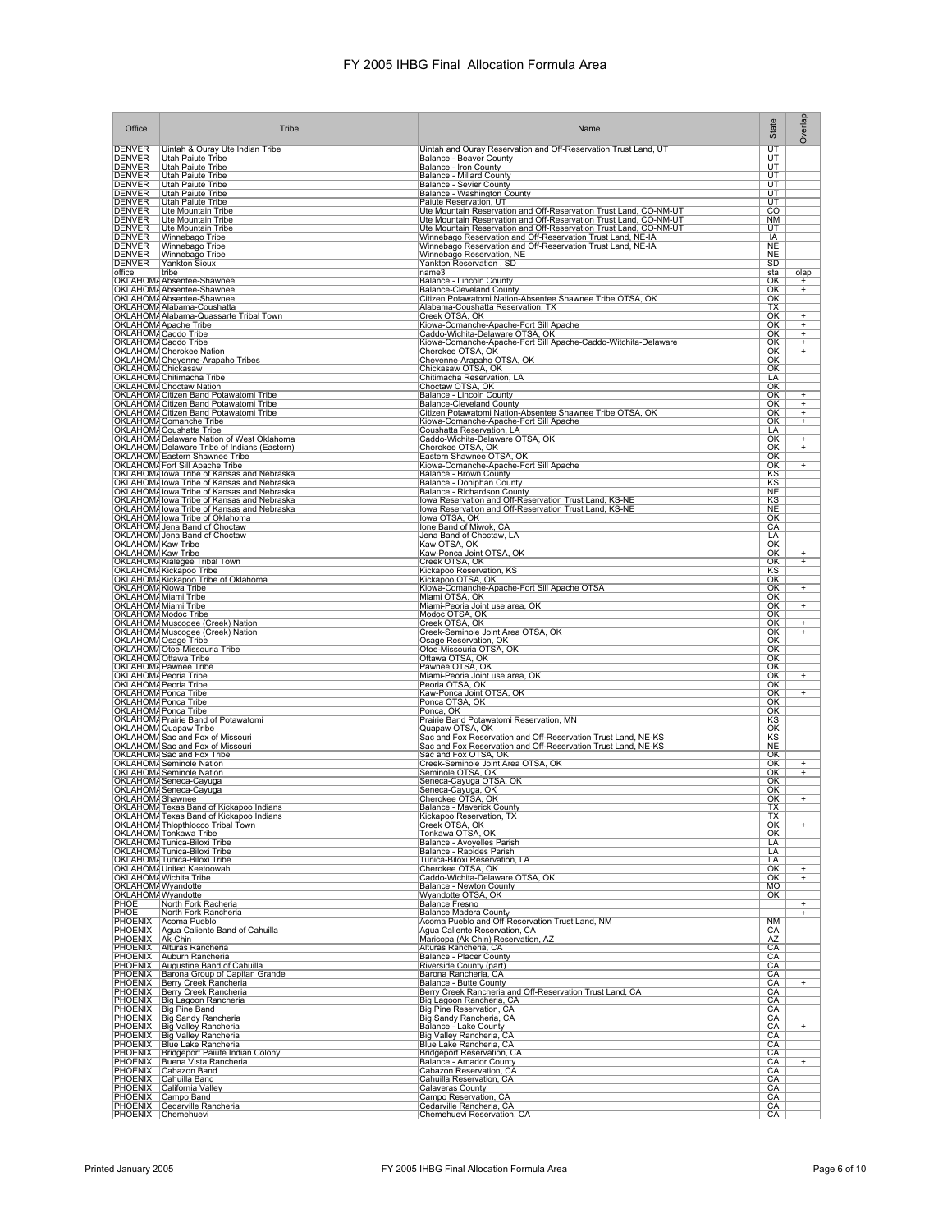| Office                                                                         | Tribe                                                                                                                                                                                                                                               | Name                                                                                                                                   | State                          | Overlap                                       |
|--------------------------------------------------------------------------------|-----------------------------------------------------------------------------------------------------------------------------------------------------------------------------------------------------------------------------------------------------|----------------------------------------------------------------------------------------------------------------------------------------|--------------------------------|-----------------------------------------------|
| DENVER<br>DENVER                                                               | Uintah & Ouray Ute Indian Tribe                                                                                                                                                                                                                     | Uintah and Ouray Reservation and Off-Reservation Trust Land, UT                                                                        | $\overline{\mathtt{UT}}$       |                                               |
| <b>DENVER</b>                                                                  | Utah Paiute Tribe<br>Utah Paiute Tribe                                                                                                                                                                                                              | Balance - Beaver County<br>Balance - Iron County                                                                                       | $\overline{\mathsf{UT}}$<br>UT |                                               |
|                                                                                | Utah Paiute Tribe<br>Utah Paiute Tribe                                                                                                                                                                                                              | <b>Balance - Millard County</b><br>Balance - Sevier County                                                                             | UT<br>UT                       |                                               |
| DENVER<br>DENVER<br>DENVER<br>DENVER                                           | <b>Utah Paiute Tribe</b><br><b>Utah Paiute Tribe</b>                                                                                                                                                                                                | Balance - Washington County                                                                                                            | UT<br>UT                       |                                               |
| <b>DENVER</b><br>DENVER                                                        | Ute Mountain Tribe                                                                                                                                                                                                                                  | Paiute Reservation, UT<br>Ute Mountain Reservation and Off-Reservation Trust Land, CO-NM-UT                                            | CO                             |                                               |
|                                                                                | Ute Mountain Tribe<br>Ute Mountain Tribe                                                                                                                                                                                                            | Ute Mountain Reservation and Off-Reservation Trust Land, CO-NM-UT<br>Ute Mountain Reservation and Off-Reservation Trust Land, CO-NM-UT | NM<br>UT                       |                                               |
| DENVER<br>DENVER<br>DENVER<br>DENVER                                           | Winnebago Tribe<br>Winnebago Tribe                                                                                                                                                                                                                  | Winnebago Reservation and Off-Reservation Trust Land, NE-IA<br>Winnebago Reservation and Off-Reservation Trust Land, NE-IA             | IA<br><b>NE</b>                |                                               |
| <b>DENVER</b>                                                                  | Winnebago Tribe<br>Yankton Sioux                                                                                                                                                                                                                    | Winnebago Reservation, NE<br>Yankton Reservation, SD                                                                                   | <b>NE</b>                      |                                               |
| office                                                                         | tribe                                                                                                                                                                                                                                               | name3                                                                                                                                  | SD<br>sta                      | olap                                          |
|                                                                                | OKLAHOM/ Absentee-Shawnee<br>OKLAHOMA Absentee-Shawnee                                                                                                                                                                                              | Balance - Lincoln County<br><b>Balance-Cleveland County</b>                                                                            | OK<br>OK                       | $\ddot{}$<br>$+$                              |
|                                                                                | OKLAHOMA Absentee-Shawnee<br>OKLAHOMA Alabama-Coushatta                                                                                                                                                                                             | Citizen Potawatomi Nation-Absentee Shawnee Tribe OTSA, OK<br>Alabama-Coushatta Reservation, TX                                         | ОΚ<br><b>TX</b>                |                                               |
|                                                                                |                                                                                                                                                                                                                                                     | Creek OTSA, OK                                                                                                                         | OK<br>OK                       | $\ddot{}$<br>$^{+}$                           |
|                                                                                | OKLAHOM/Alabama-Quassarte Tribal Town<br>OKLAHOM/Apache Tribe<br>OKLAHOM/Apache Tribe<br>OKLAHOM/Caddo Tribe<br>OKLAHOM/Caddo Tribe                                                                                                                 | Kiowa-Comanche-Apache-Fort Sill Apache<br>Caddo-Wichita-Delaware OTSA, OK                                                              | $\overline{\text{OK}}$         | $^{+}$                                        |
|                                                                                | <b>OKLAHOMA</b> Cherokee Nation                                                                                                                                                                                                                     | Kiowa-Comanche-Apache-Fort Sill Apache-Caddo-Witchita-Delaware<br>Cherokee OTSA, OK                                                    | OK<br>OK                       | $\overline{+}$<br>$^{+}$                      |
| OKLAHOM/ Chickasaw                                                             | OKLAHOMA Cheyenne-Arapaho Tribes                                                                                                                                                                                                                    | Cheyenne-Arapaho OTSA, OK<br>Chickasaw OTSA, OK                                                                                        | OK<br>OK                       |                                               |
|                                                                                | OKLAHOMA Chitimacha Tribe                                                                                                                                                                                                                           | Chitimacha Reservation, LA                                                                                                             | LA                             |                                               |
|                                                                                | OKLAHOMA Choctaw Nation<br>OKLAHOMA Citizen Band Potawatomi Tribe                                                                                                                                                                                   | Choctaw OTSA, OK<br>Balance - Lincoln County                                                                                           | OK<br><u>OK</u>                | $\ddot{}$                                     |
|                                                                                | OKLAHOMA Citizen Band Potawatomi Tribe<br>OKLAHOMA Citizen Band Potawatomi Tribe                                                                                                                                                                    | <b>Balance-Cleveland County</b><br>Citizen Potawatomi Nation-Absentee Shawnee Tribe OTSA, OK                                           | ОΚ<br>OK                       | $\begin{array}{c} + \end{array}$<br>$\ddot{}$ |
|                                                                                | OKLAHOMA Comanche Tribe<br>OKLAHOMA Coushatta Tribe                                                                                                                                                                                                 | Kiowa-Comanche-Apache-Fort Sill Apache<br>Coushatta Reservation, LA                                                                    | OK<br>LA                       | $\begin{array}{c} + \end{array}$              |
|                                                                                | OKLAHOMA Delaware Nation of West Oklahoma                                                                                                                                                                                                           | Caddo-Wichita-Delaware OTSA, OK                                                                                                        | ОК                             | $\ddot{}$                                     |
|                                                                                | OKLAHOMA Delaware Tribe of Indians (Eastern)<br>OKLAHOMA Eastern Shawnee Tribe                                                                                                                                                                      | Cherokee OTSA, OK<br>Eastern Shawnee OTSA, OK                                                                                          | OK<br>OK                       | $^{+}$                                        |
|                                                                                | OKLAHOMA Fort Sill Apache Tribe<br>OKLAHOMA fort Sill Apache Tribe<br>OKLAHOMA fowa Tribe of Kansas and Nebraska<br>OKLAHOMA fowa Tribe of Kansas and Nebraska<br>OKLAHOMA fowa Tribe of Kansas and Nebraska                                        | Kiowa-Comanche-Apache-Fort Sill Apache<br>Balance - Brown County                                                                       | OK<br>$rac{KS}{KS}$            | $+$                                           |
|                                                                                |                                                                                                                                                                                                                                                     | <b>Balance - Doniphan County</b><br>Balance - Richardson County                                                                        | NE                             |                                               |
|                                                                                | OKLAHOMA lowa Tribe of Kansas and Nebraska<br>OKLAHOMA lowa Tribe of Kansas and Nebraska                                                                                                                                                            | Iowa Reservation and Off-Reservation Trust Land, KS-NE<br>lowa Reservation and Off-Reservation Trust Land, KS-NE                       | KS<br><b>NE</b>                |                                               |
|                                                                                | OKLAHOMA lowa Tribe of Oklahoma                                                                                                                                                                                                                     | lowa OTSA, OK                                                                                                                          | OK                             |                                               |
|                                                                                | OKLAHOMA Jena Band of Choctaw                                                                                                                                                                                                                       | Ione Band of Miwok, CA<br>Jena Band of Choctaw, LA                                                                                     | CA<br>LA                       |                                               |
|                                                                                | OKLAHOMA Jena Band of Choctaw<br>OKLAHOMA Kaw Tribe<br>OKLAHOMA Kaw Tribe                                                                                                                                                                           | Kaw OTSA, OK<br>Kaw-Ponca Joint OTSA, OK                                                                                               | OK<br>$\overline{\text{OK}}$   | +                                             |
|                                                                                | OKLAHOMA Kialegee Tribal Town<br>OKLAHOMA Kickapoo Tribe                                                                                                                                                                                            | Creek OTSA, OK<br>Kickapoo Reservation, KS                                                                                             | $\overline{\text{OK}}$<br>KS   | $^{+}$                                        |
|                                                                                | OKLAHOMA Kickapoo Tribe of Oklahoma                                                                                                                                                                                                                 | Kickapoo OTSA, OK                                                                                                                      | OK                             |                                               |
| OKLAHOMA Kiowa Tribe<br>OKLAHOMA Miami Tribe                                   |                                                                                                                                                                                                                                                     | Kiowa-Comanche-Apache-Fort Sill Apache OTSA<br>Miami OTSA, OK                                                                          | ОΚ<br>OK                       | $^{+}$                                        |
| OKLAHOMA Miami Tribe                                                           |                                                                                                                                                                                                                                                     | Miami-Peoria Joint use area, OK<br>Modoc OTSA, OK                                                                                      | OK<br><u>ОК</u>                | $^{+}$                                        |
|                                                                                | OKLAHOMA Modoc Tribe<br>OKLAHOMA Muscogee (Creek) Nation<br>OKLAHOMA Muscogee (Creek) Nation                                                                                                                                                        | Creek OTSA, OK                                                                                                                         | OK<br>$\overline{\text{OK}}$   | $\ddot{}$<br>$\ddot{}$                        |
| OKLAHOMA Osage Tribe                                                           |                                                                                                                                                                                                                                                     | Creek-Seminole Joint Area OTSA, OK<br>Osage Reservation, OK                                                                            | OK                             |                                               |
|                                                                                | OKLAHOMA Otoe-Missouria Tribe<br>OKLAHOMA Ottawa Tribe                                                                                                                                                                                              | Otoe-Missouria OTSA, OK<br>Ottawa OTSA, OK                                                                                             | OK<br>ОΚ                       |                                               |
| OKLAHOMA Peoria Tribe                                                          | OKLAHOM/ Pawnee Tribe                                                                                                                                                                                                                               | Pawnee OTSA, OK<br>Miami-Peoria Joint use area, OK                                                                                     | ОΚ<br>OK                       | $^{+}$                                        |
| OKLAHOMA Peoria Tribe<br>OKLAHOMA Ponca Tribe<br>OKLAHOMA Ponca Tribe          |                                                                                                                                                                                                                                                     | Peoria OTSA, OK                                                                                                                        | OK<br>OK                       | $^{+}$                                        |
|                                                                                |                                                                                                                                                                                                                                                     | Kaw-Ponca Joint OTSA, OK<br>Ponca OTSA, OK                                                                                             | $\overline{\text{OK}}$         |                                               |
| OKLAHOM/ Ponca Tribe                                                           | OKLAHOMA Prairie Band of Potawatomi                                                                                                                                                                                                                 | Ponca, OK<br>Prairie Band Potawatomi Reservation, MN                                                                                   | $\overline{\text{OK}}$<br>KS   |                                               |
|                                                                                | OKLAHOMA Quapaw Tribe<br>OKLAHOMA Sac and Fox of Missouri                                                                                                                                                                                           | Quapaw OTSA, OK<br>Sac and Fox Reservation and Off-Reservation Trust Land, NE-KS                                                       | OK<br>ΚS                       |                                               |
|                                                                                | OKLAHOMA Sac and Fox of Missouri                                                                                                                                                                                                                    | Sac and Fox Reservation and Off-Reservation Trust Land, NE-KS<br>Sac and Fox OTSA, OK                                                  | <b>NE</b><br>OK                |                                               |
|                                                                                | OKLAHOMA Sac and Fox Tribe<br>OKLAHOMA Seminole Nation<br>OKLAHOMA Seminole Nation<br>OKLAHOMA Seneca-Cayuga                                                                                                                                        | Creek-Seminole Joint Area OTSA, OK<br>Seminole OTSA, OK                                                                                | OK<br>$\overline{\text{OK}}$   | $\ddot{}$<br>$\ddot{}$                        |
|                                                                                |                                                                                                                                                                                                                                                     | Seneca-Cayuga OTSA, OK                                                                                                                 | $\overline{\text{OK}}$         |                                               |
| OKLAHOMA Shawnee                                                               | OKLAHOMA Seneca-Cayuga                                                                                                                                                                                                                              | Seneca-Cayuga, OK<br>Cherokee OTSA, OK                                                                                                 | $\overline{\text{OK}}$<br>OK   | $\ddot{}$                                     |
|                                                                                | OKLAHOMA Texas Band of Kickapoo Indians<br>OKLAHOMA Texas Band of Kickapoo Indians                                                                                                                                                                  | Balance - Maverick County<br>Kickapoo Reservation. TX                                                                                  | ТX<br>ΙX                       |                                               |
|                                                                                | OKLAHOMA Thlopthlocco Tribal Town                                                                                                                                                                                                                   | Creek OTSA, OK<br>Tonkawa OTSA, OK                                                                                                     | OK<br><u>ОК</u>                | $\ddot{}$                                     |
|                                                                                | OKLAHOMA Tonkawa Tribe<br>OKLAHOMA Tunica-Biloxi Tribe<br>OKLAHOMA Tunica-Biloxi Tribe                                                                                                                                                              | Balance - Avoyelles Parish<br>Balance - Rapides Parish                                                                                 | LA                             |                                               |
|                                                                                | OKLAHOMA Tunica-Biloxi Tribe                                                                                                                                                                                                                        | Tunica-Biloxi Reservation, LA                                                                                                          | LA<br>LA                       |                                               |
|                                                                                | OKLAHOMA United Keetoowah<br>OKLAHOMA Wichita Tribe                                                                                                                                                                                                 | Cherokee OTSA, OK<br>Caddo-Wichita-Delaware OTSA, OK                                                                                   | OK<br>OK                       | $\ddot{}$<br>$\ddot{}$                        |
| OKLAHOMA Wyandotte<br>OKLAHOMA Wyandotte<br>PHOE North Fork<br>PHOE North Fork |                                                                                                                                                                                                                                                     | <b>Balance - Newton County</b><br>Wyandotte OTSA, OK                                                                                   | MO<br>OK                       |                                               |
|                                                                                | North Fork Racheria                                                                                                                                                                                                                                 | <b>Balance Fresno</b><br><b>Balance Madera County</b>                                                                                  |                                | $\ddot{}$                                     |
|                                                                                | North Fork Rancheria<br>PHOENIX Acoma Pueblo                                                                                                                                                                                                        | Acoma Pueblo and Off-Reservation Trust Land, NM                                                                                        | NM                             | $^{+}$                                        |
| PHOENIX Ak-Chin                                                                | PHOENIX Agua Caliente Band of Cahuilla                                                                                                                                                                                                              | Agua Caliente Reservation, CA<br>Maricopa (Ak Chin) Reservation, AZ                                                                    | CA<br>AZ                       |                                               |
|                                                                                | PHOENIX Alturas Rancheria<br>PHOENIX Auburn Rancheria                                                                                                                                                                                               | Alturas Rancheria, CA<br><b>Balance - Placer County</b>                                                                                | CA<br>CA                       |                                               |
|                                                                                | PHOENIX Avususine Band of Cahuilla<br>PHOENIX Barona Group of Capitan Grande<br>PHOENIX Berry Creek Rancheria<br>PHOENIX Berry Creek Rancheria<br>PHOENIX Big Lagoon Rancheria<br>PHOENIX Big Pine Band<br>PHOENIX Big Pine Band<br>PHOENIX Big Pin | Riverside County (part)<br>Barona Rancheria, CA<br>Balance - Butte County                                                              | CA<br>CA                       |                                               |
|                                                                                |                                                                                                                                                                                                                                                     |                                                                                                                                        | CA                             | $^{+}$                                        |
|                                                                                |                                                                                                                                                                                                                                                     | Berry Creek Rancheria and Off-Reservation Trust Land, CA<br>Big Lagoon Rancheria, CA                                                   | CA<br>CA                       |                                               |
|                                                                                | PHOENIX Big Sandy Rancheria                                                                                                                                                                                                                         | <b>Big Pine Reservation, CA</b><br>Big Sandy Rancheria, CA                                                                             | CA<br>CA                       |                                               |
|                                                                                | PHOENIX Big Valley Rancheria<br>PHOENIX Big Valley Rancheria                                                                                                                                                                                        | Balance - Lake County<br>Big Valley Rancheria, CA                                                                                      | CA<br>CA                       | $^{+}$                                        |
|                                                                                | PHOENIX   Blue Lake Rancheria                                                                                                                                                                                                                       | Blue Lake Rancheria, CA                                                                                                                | CA                             |                                               |
|                                                                                | PHOENIX   Bridgeport Paiute Indian Colony<br>PHOENIX Buena Vista Rancheria                                                                                                                                                                          | <b>Bridgeport Reservation, CA</b><br>Balance - Amador County<br>Cabazon Reservation, CA                                                | <b>CA</b><br>$\frac{CA}{CA}$   | $\ddot{}$                                     |
|                                                                                | PHOENIX Cahuilla Band                                                                                                                                                                                                                               | Cahuilla Reservation, CA                                                                                                               | CA                             |                                               |
|                                                                                | PHOENIX California Valley<br>PHOENIX Campo Band                                                                                                                                                                                                     | Calaveras County<br>Campo Reservation, CA                                                                                              | CA<br>CA                       |                                               |
|                                                                                | PHOENIX Cedarville Rancheria                                                                                                                                                                                                                        | Cedarville Rancheria, CA                                                                                                               | CA                             |                                               |
|                                                                                | PHOENIX Chemehuevi                                                                                                                                                                                                                                  | Chemehuevi Reservation, CA                                                                                                             | CA                             |                                               |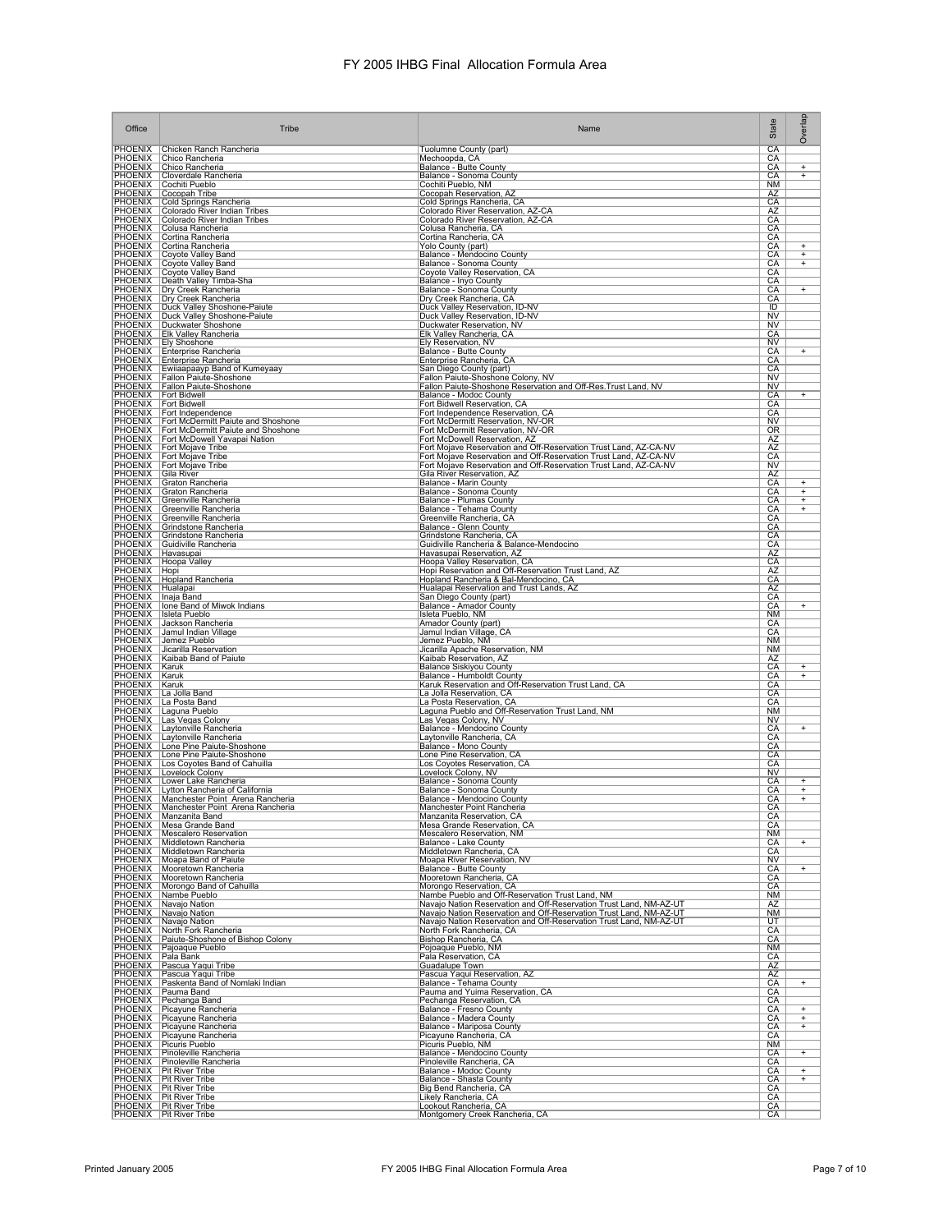| Office                               | Tribe                                                                                                                | Name                                                                                                                                                                                                           | State                        | Overlap                          |
|--------------------------------------|----------------------------------------------------------------------------------------------------------------------|----------------------------------------------------------------------------------------------------------------------------------------------------------------------------------------------------------------|------------------------------|----------------------------------|
|                                      | PHOENIX Chicken Ranch Rancheria                                                                                      | Tuolumne County (part)                                                                                                                                                                                         | CA                           |                                  |
|                                      | PHOENIX   Chico Rancheria<br>PHOENIX Chico Rancheria                                                                 | Mechoopda, CA<br>Balance - Butte County                                                                                                                                                                        | CA<br>CA                     | $^{+}$                           |
| <b>PHOENIX</b><br>PHOENIX            | Cloverdale Rancheria<br>Cochiti Pueblo                                                                               | Balance - Sonoma County<br>Cochiti Pueblo, NM                                                                                                                                                                  | CA<br><b>NM</b>              | $\ddot{}$                        |
| PHOENIX<br><b>PHOENIX</b>            | Cocopah Tribe<br>Cold Springs Rancheria                                                                              | Cocopah Reservation, AZ<br>Cold Springs Rancheria, CA                                                                                                                                                          | AZ<br>CA                     |                                  |
| <b>PHOENIX</b><br>PHOENIX            | Colorado River Indian Tribes<br>Colorado River Indian Tribes                                                         | Colorado River Reservation, AZ-CA<br>Colorado River Reservation, AZ-CA                                                                                                                                         | AZ<br>CA                     |                                  |
| PHOENIX                              | Colusa Rancheria                                                                                                     | Colusa Rancheria, CA                                                                                                                                                                                           | СA                           |                                  |
|                                      | PHOENIX Cortina Rancheria<br>PHOENIX   Cortina Rancheria                                                             | Cortina Rancheria, CA<br>Yolo County (part)                                                                                                                                                                    | СA<br>CA                     | $\ddot{}$                        |
| PHOENIX<br>PHOENIX<br>PHOENIX        | Coyote Valley Band<br>Coyote Valley Band<br>Coyote Valley Band                                                       | Balance - Mendocino County<br>Balance - Sonoma County<br>Coyote Valley Reservation, CA                                                                                                                         | CA<br>CA                     | $^{+}$<br>$\overline{+}$         |
| <b>PHOENIX</b>                       | Death Valley Timba-Sha                                                                                               | Balance - Inyo County                                                                                                                                                                                          | CA<br>CA                     |                                  |
| <b>PHOENIX</b><br><b>PHOENIX</b>     | <b>Dry Creek Rancheria</b><br><b>Dry Creek Rancheria</b>                                                             | Balance - Sonoma County<br>Dry Creek Rancheria, CA                                                                                                                                                             | CA<br>СA                     | $\ddot{}$                        |
| <b>PHOENIX</b>                       | Duck Valley Shoshone-Paiute                                                                                          | Duck Valley Reservation, ID-NV                                                                                                                                                                                 | $\overline{1}$               |                                  |
| PHOENIX<br>PHOENIX                   | Duck Valley Shoshone-Paiute                                                                                          | Duck Valley Reservation, ID-NV<br>Duckwater Reservation, NV<br>Elk Valley Rancheria, CA                                                                                                                        | <b>NV</b><br><b>NV</b>       |                                  |
| <b>PHOENIX</b>                       | <b>Elk Valley Rancheria</b><br>PHOENIX Ely Shoshone                                                                  | Ely Reservation, NV                                                                                                                                                                                            | СA<br>N <sub>V</sub>         |                                  |
| <b>PHOENIX</b><br>PHOENIX            | Enterprise Rancheria<br>Enterprise Rancheria                                                                         | Balance - Butte County<br>Enterprise Rancheria, CA                                                                                                                                                             | CA<br>CA                     | $^{+}$                           |
|                                      | PHOENIX   Ewiiaapaayp Band of Kumeyaay                                                                               | San Diego County (part)                                                                                                                                                                                        | СA                           |                                  |
|                                      | PHOENIX   Fallon Paiute-Shoshone<br>PHOENIX Fallon Paiute-Shoshone                                                   | Fallon Paiute-Shoshone Colony, NV<br>Fallon Paiute-Shoshone Reservation and Off-Res. Trust Land, NV                                                                                                            | <b>NV</b><br><b>NV</b>       |                                  |
| <b>PHOENIX</b><br><b>PHOENIX</b>     | <b>Fort Bidwell</b><br><b>Fort Bidwell</b>                                                                           | Balance - Modoc County<br>Fort Bidwell Reservation, CA                                                                                                                                                         | CA<br>CA                     | $^{+}$                           |
| PHOENIX<br><b>PHOENIX</b>            | Fort Independence<br>Fort McDermitt Paiute and Shoshone                                                              | Fort Independence Reservation, CA<br>Fort McDermitt Reservation, NV-OR                                                                                                                                         | CA<br><b>NV</b>              |                                  |
| <b>PHOENIX</b>                       | Fort McDermitt Paiute and Shoshone                                                                                   | Fort McDermitt Reservation, NV-OR                                                                                                                                                                              | 0R                           |                                  |
| PHOENIX<br>PHOENIX                   | Fort McDowell Yavapai Nation<br>Fort Mojave Tribe                                                                    | Fort McDowell Reservation, AZ<br>Fort Mojave Reservation and Off-Reservation Trust Land, AZ-CA-NV                                                                                                              | AZ<br>AZ                     |                                  |
|                                      | PHOENIX   Fort Mojave Tribe<br>PHOENIX Fort Mojave Tribe                                                             | Fort Mojave Reservation and Off-Reservation Trust Land, AZ-CA-NV<br>Fort Mojave Reservation and Off-Reservation Trust Land, AZ-CA-NV                                                                           | CA<br>NV                     |                                  |
| PHOENIX<br>PHOENIX                   | Gila River<br>Graton Rancheria                                                                                       | Gila River Reservation, AZ                                                                                                                                                                                     | AZ<br>CA                     | $\ddot{}$                        |
| <b>PHOENIX</b>                       | Graton Rancheria                                                                                                     | Balance - Marin County<br>Balance - Sonoma County<br>Balance - Plumas County                                                                                                                                   | CA                           | $\overline{+}$                   |
| <b>PHOENIX</b><br>PHOENIX            | Greenville Rancheria<br>Greenville Rancheria                                                                         | Balance - Tehama County                                                                                                                                                                                        | CA<br>CA                     | $^{+}$<br>$+$                    |
| PHOENIX                              | Greenville Rancheria<br>PHOENIX Grindstone Rancheria                                                                 | Greenville Rancheria, CA<br>Balance - Glenn County                                                                                                                                                             | СA<br>CA                     |                                  |
|                                      | PHOENIX Grindstone Rancheria<br>PHOENIX Guidiville Rancheria<br>PHOENIX Havasupai<br>PHOENIX Hoopa Valley            | Grindstone Rancheria, CA<br>Guidiville Rancheria & Balance-Mendocino                                                                                                                                           | CA<br>CА                     |                                  |
|                                      |                                                                                                                      | Havasupai Reservation, AZ                                                                                                                                                                                      | <b>AZ</b>                    |                                  |
| PHOENIX Hopi                         |                                                                                                                      | Hoopa Valley Reservation, CA<br>Hopi Reservation and Off-Reservation Trust Land, AZ                                                                                                                            | CA<br>AZ                     |                                  |
| <b>PHOENIX</b><br>PHOENIX   Hualapai | Hopland Rancheria                                                                                                    | Hopland Rancheria & Bal-Mendocino, CA<br>Hualapai Reservation and Trust Lands, AZ                                                                                                                              | CA<br>AZ                     |                                  |
| PHOENIX   Inaja Band                 | PHOENIX   Ione Band of Miwok Indians                                                                                 | San Diego County (part)<br>Balance - Amador County                                                                                                                                                             | CA<br>CA                     | $^{+}$                           |
| <b>PHOENIX</b>                       | Isleta Pueblo                                                                                                        | Isleta Pueblo, NM                                                                                                                                                                                              | <b>NM</b>                    |                                  |
| PHOENIX<br>PHOENIX                   | Jackson Rancheria<br>Jamul Indian Village                                                                            | Amador County (part)<br>Jamul Indian Village, CA                                                                                                                                                               | CA<br>CA                     |                                  |
| <b>PHOENIX</b><br>PHOENIX            | Jemez Pueblo<br>Jicarilla Reservation                                                                                | Jemez Pueblo, NM<br>Jicarilla Apache Reservation, NM                                                                                                                                                           | <b>NM</b><br>NM              |                                  |
| PHOENIX<br>PHOENIX                   | Kaibab Band of Paiute<br>Karuk                                                                                       | Kaibab Reservation, AZ<br><b>Balance Siskiyou County</b>                                                                                                                                                       | AZ<br>CA                     | +                                |
| PHOENIX   Karuk<br>PHOENIX   Karuk   |                                                                                                                      | Balance - Humboldt County<br>Karuk Reservation and Off-Reservation Trust Land, CA                                                                                                                              | CA<br>CA                     | $+$                              |
|                                      |                                                                                                                      | La Jolla Reservation, CA                                                                                                                                                                                       | CA                           |                                  |
|                                      | PHOENIX La Jolla Band<br>PHOENIX La Posta Band<br>PHOENIX Laguna Pueblo                                              | La Posta Reservation, CA<br>Laguna Pueblo and Off-Reservation Trust Land, NM                                                                                                                                   | CA<br><b>NM</b>              |                                  |
| <b>PHOENIX</b>                       | PHOENIX Las Vegas Colony<br>Laytonville Rancheria                                                                    | Las Vegas Colony, NV<br>Balance - Mendocino County                                                                                                                                                             | <b>NV</b><br>CA              | $\ddot{}$                        |
|                                      | PHOENIX   Laytonville Rancheria<br>PHOENIX Lone Pine Paiute-Shoshone                                                 | Laytonville Rancheria, CA<br>Balance - Mono County                                                                                                                                                             | CA<br>CA                     |                                  |
|                                      | PHOENIX   Lone Pine Paiute-Shoshone<br>Los Coyotes Band of Cahuilla                                                  | Lone Pine Reservation, CA<br>Los Coyotes Reservation, CA                                                                                                                                                       | CA<br>CА                     |                                  |
| PHOENIX<br>PHOENIX                   | Lovelock Colony                                                                                                      | Lovelock Colony, NV                                                                                                                                                                                            | NV                           |                                  |
|                                      | PHOENIX Lower Lake Rancheria<br>PHOENIX   Lytton Rancheria of California                                             | Balance - Sonoma County                                                                                                                                                                                        | CA<br>CA                     | $\ddot{}$<br>$^{+}$              |
|                                      | PHOENIX   Manchester Point Arena Rancheria<br>PHOENIX   Manchester Point Arena Rancheria                             | Balance - Mendocino County<br>Manchester Point Rancheria                                                                                                                                                       | CA<br>СA                     | $^{+}$                           |
|                                      | PHOENIX   Manzanita Band<br>PHOENIX   Mesa Grande Band                                                               | Manzanita Reservation, CA<br>Mesa Grande Reservation, CA                                                                                                                                                       | CА<br>CA                     |                                  |
| PHOENIX                              | <b>PHOENIX</b>   Mescalero Reservation<br>Middletown Rancheria                                                       | Mescalero Reservation, NM<br>Balance - Lake County                                                                                                                                                             | <b>NM</b><br>CA              | $\begin{array}{c} + \end{array}$ |
| <b>PHOENIX</b>                       | Middletown Rancheria                                                                                                 | Middletown Rancheria, CA                                                                                                                                                                                       | CA                           |                                  |
| <b>PHOENIX</b><br><b>PHOENIX</b>     | Moapa Band of Paiute<br>Mooretown Rancheria                                                                          | Moapa River Reservation, NV<br>Balance - Butte County                                                                                                                                                          | N <sub>V</sub><br>CA         | $\ddot{}$                        |
| <b>PHOENIX</b><br><b>PHOENIX</b>     | Mooretown Rancheria<br>Morongo Band of Cahuilla                                                                      | Mooretown Rancheria, CA<br>Morongo Reservation, CA                                                                                                                                                             | CA<br>СA                     |                                  |
| <b>PHOENIX</b><br>PHOENIX            | Nambe Pueblo<br>Navajo Nation                                                                                        | Nambe Pueblo and Off-Reservation Trust Land, NM                                                                                                                                                                | NM<br>AZ                     |                                  |
| PHOENIX<br>PHOENIX                   | Navajo Nation<br>Navajo Nation                                                                                       | Navajo Nation Reservation and Off-Reservation Trust Land, NM-AZ-UT<br>Navajo Nation Reservation and Off-Reservation Trust Land, NM-AZ-UT<br>Navajo Nation Reservation and Off-Reservation Trust Land, NM-AZ-UT | <b>NM</b><br>$\overline{UT}$ |                                  |
| <b>PHOENIX</b>                       | North Fork Rancheria                                                                                                 | North Fork Rancheria, CA                                                                                                                                                                                       | CA                           |                                  |
| <b>PHOENIX</b>                       | Paiute-Shoshone of Bishop Colony                                                                                     | Bishop Rancheria, CA<br>Pojoaque Pueblo, NM                                                                                                                                                                    | CA<br><b>NM</b>              |                                  |
|                                      | PHOENIX Pajoaque Pueblo<br>PHOENIX Pajoaque Pueblo<br>PHOENIX Pascua Yaqui Tribe                                     | Pala Reservation, CA<br>Guadalupe Town                                                                                                                                                                         | CA<br><b>AZ</b>              |                                  |
|                                      | PHOENIX Pascua Yaqui Tribe<br>PHOENIX Paskenta Band of Nomlaki Indian<br>PHOENIX Pauma Band<br>PHOENIX Pechanga Band | Pascua Yaqui Reservation, AZ<br>Balance - Tehama County                                                                                                                                                        | <b>AZ</b><br>CA              | $^{+}$                           |
|                                      |                                                                                                                      | Pauma and Yuima Reservation, CA                                                                                                                                                                                | CA                           |                                  |
|                                      | PHOENIX Picayune Rancheria                                                                                           | Pechanga Reservation, CA<br><b>Balance - Fresno County</b>                                                                                                                                                     | CA<br>CA                     | $^{+}$                           |
| <b>PHOENIX</b>                       | Picayune Rancheria<br>PHOENIX Picayune Rancheria                                                                     | Balance - Madera County<br>Balance - Mariposa County                                                                                                                                                           | CA<br>CA                     | $^{+}$<br>$^{+}$                 |
|                                      | PHOENIX Picayune Rancheria<br>PHOENIX   Picuris Pueblo                                                               | Picayune Rancheria, CA<br>Picuris Pueblo, NM                                                                                                                                                                   | CA<br>NM.                    |                                  |
| PHOENIX<br>PHOENIX                   | Pinoleville Rancheria                                                                                                | Balance - Mendocino County<br>Pinoleville Rancheria, CA                                                                                                                                                        | <b>CA</b><br>CA              | $\ddot{}$                        |
|                                      | Pinoleville Rancheria<br>PHOENIX Pit River Tribe                                                                     | Balance - Modoc County                                                                                                                                                                                         | CA                           | $\ddot{}$                        |
| <b>PHOENIX</b><br><b>PHOENIX</b>     | <b>Pit River Tribe</b><br><b>Pit River Tribe</b>                                                                     | Balance - Shasta County<br>Big Bend Rancheria, CA                                                                                                                                                              | CA<br>CA                     | $\ddot{}$                        |
|                                      | PHOENIX   Pit River Tribe<br>PHOENIX   Pit River Tribe                                                               | Likely Rancheria, CA<br>Lookout Rancheria, CA                                                                                                                                                                  | CA<br>CA                     |                                  |
|                                      | PHOENIX   Pit River Tribe                                                                                            | Montgomery Creek Rancheria, CA                                                                                                                                                                                 | CA                           |                                  |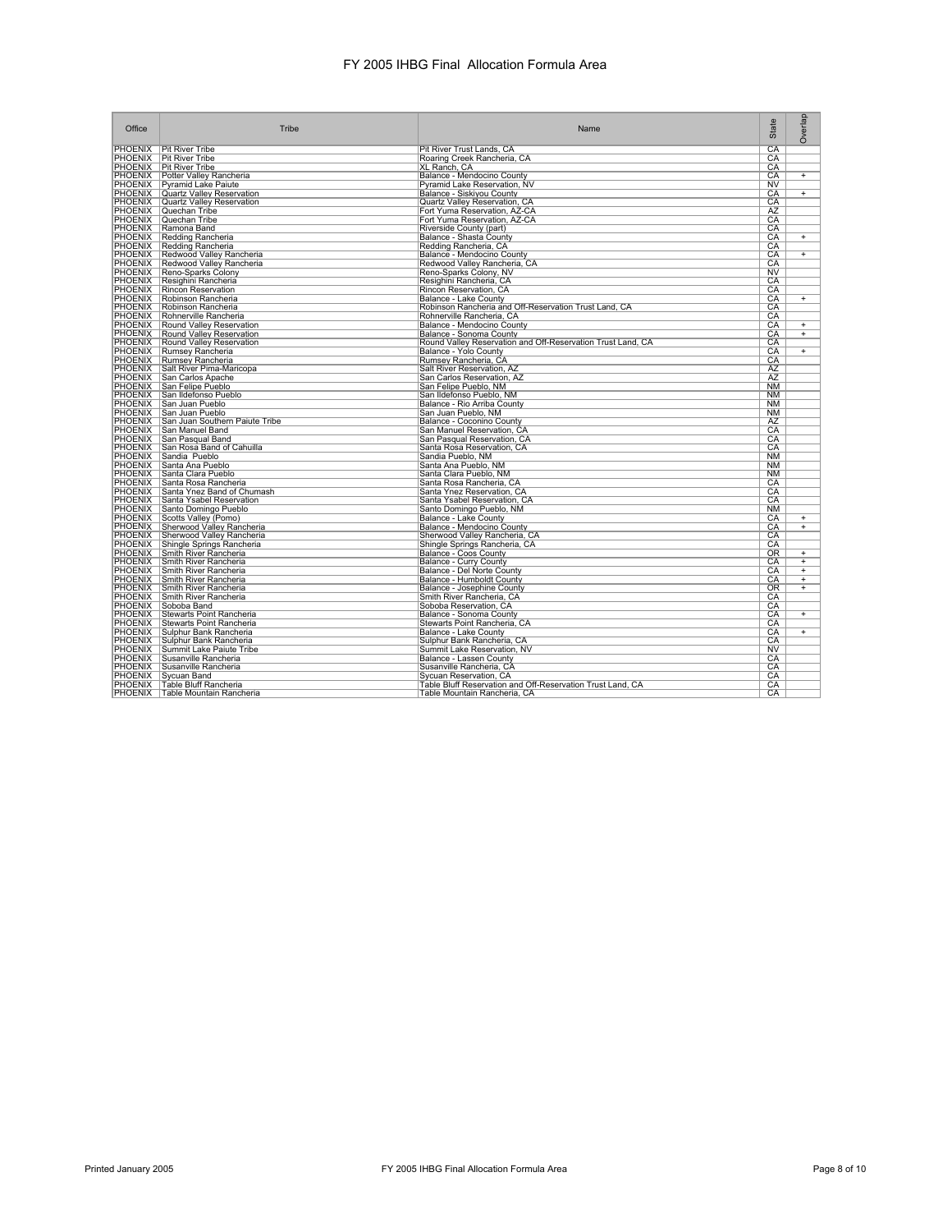| CA<br><b>PHOENIX</b><br><b>Pit River Tribe</b><br>Pit River Trust Lands, CA<br>CA<br><b>Pit River Tribe</b><br>Roaring Creek Rancheria, CA<br><b>PHOENIX</b><br><b>Pit River Tribe</b><br>XL Ranch, CA<br>CA<br><b>PHOENIX</b><br>Potter Valley Rancheria<br>Balance - Mendocino County<br>CA<br>$\ddot{}$<br><b>PHOENIX</b><br>Pyramid Lake Paiute<br>NV<br>Pyramid Lake Reservation, NV<br>PHOENIX Quartz Valley Reservation<br>Balance - Siskiyou County<br>CA<br>$+$<br><b>PHOENIX</b><br><b>Quartz Valley Reservation</b><br>Quartz Valley Reservation, CA<br>CA<br>PHOENIX Quechan Tribe<br>AZ<br>Fort Yuma Reservation, AZ-CA<br>PHOENIX Quechan Tribe<br>Fort Yuma Reservation, AZ-CA<br>CA<br>PHOENIX Ramona Band<br>Riverside County (part)<br>CA<br>PHOENIX   Redding Rancheria<br>Balance - Shasta County<br>CA<br>$\overline{+}$<br>PHOENIX Redding Rancheria<br>Redding Rancheria, CA<br>CA<br>PHOENIX   Redwood Valley Rancheria<br>Balance - Mendocino County<br>$+$<br>CA<br>PHOENIX Redwood Valley Rancheria<br>Redwood Valley Rancheria, CA<br>CA<br>PHOENIX   Reno-Sparks Colony<br>Reno-Sparks Colony, NV<br><b>NV</b><br>PHOENIX   Resighini Rancheria<br>CA<br>Resighini Rancheria, CA<br><b>PHOENIX</b>   Rincon Reservation<br>Rincon Reservation, CA<br>CA<br>PHOENIX Robinson Rancheria<br>Balance - Lake County<br>CA<br>$+$<br><b>PHOENIX</b><br>Robinson Rancheria<br>Robinson Rancheria and Off-Reservation Trust Land, CA<br>CA<br>PHOENIX   Rohnerville Rancheria<br>CA<br>Rohnerville Rancheria, CA<br>PHOENIX Round Valley Reservation<br>Balance - Mendocino County<br>CA<br>$^{+}$<br><b>PHOENIX</b> Round Valley Reservation<br>CA<br>Balance - Sonoma County<br>$+$<br><b>PHOENIX</b> Round Valley Reservation<br>Round Valley Reservation and Off-Reservation Trust Land, CA<br>CA<br>PHOENIX   Rumsey Rancheria<br>CA<br>Balance - Yolo County<br>$+$<br>PHOENIX   Rumsey Rancheria<br>Rumsey Rancheria, CA<br>CA<br>PHOENIX Salt River Pima-Maricopa<br>AZ<br>Salt River Reservation, AZ<br>PHOENIX San Carlos Apache<br>San Carlos Reservation, AZ<br>AZ<br>PHOENIX San Felipe Pueblo<br>San Felipe Pueblo, NM<br>NM<br>PHOENIX San Ildefonso Pueblo<br>San Ildefonso Pueblo, NM<br><b>NM</b><br>PHOENIX San Juan Pueblo<br>Balance - Rio Arriba County<br><b>NM</b><br>PHOENIX San Juan Pueblo<br>San Juan Pueblo, NM<br>NM<br>PHOENIX San Juan Southern Paiute Tribe<br>Balance - Coconino County<br>AZ<br>PHOENIX San Manuel Band<br>San Manuel Reservation, CA<br>CA<br>PHOENIX San Pasqual Band<br>San Pasqual Reservation, CA<br>CA<br><b>PHOENIX</b><br>San Rosa Band of Cahuilla<br>Santa Rosa Reservation, CA<br>CA<br>PHOENIX Sandia Pueblo<br>Sandia Pueblo, NM<br>N <sub>M</sub><br>PHOENIX Santa Ana Pueblo<br>Santa Ana Pueblo, NM<br><b>NM</b><br>PHOENIX Santa Clara Pueblo<br>Santa Clara Pueblo, NM<br><b>NM</b><br>PHOENIX Santa Rosa Rancheria<br>Santa Rosa Rancheria, CA<br>CA<br>PHOENIX Santa Ynez Band of Chumash<br>CA<br>Santa Ynez Reservation, CA<br>PHOENIX Santa Ysabel Reservation<br>Santa Ysabel Reservation, CA<br>CA<br>PHOENIX Santo Domingo Pueblo<br>Santo Domingo Pueblo, NM<br><b>NM</b><br>PHOENIX Scotts Valley (Pomo)<br>Balance - Lake County<br>CA<br>$+$<br>PHOENIX Sherwood Valley Rancheria<br>Balance - Mendocino County<br>CA<br>$\overline{+}$<br>Sherwood Valley Rancheria, CA<br>CA<br>PHOENIX Shingle Springs Rancheria<br>Shingle Springs Rancheria, CA<br>CA<br>PHOENIX Smith River Rancheria<br>OR<br>Balance - Coos County<br>$+$<br>PHOENIX Smith River Rancheria<br><b>Balance - Curry County</b><br>CA<br>$\overline{+}$<br>PHOENIX Smith River Rancheria<br>CA<br>Balance - Del Norte County<br>$\overline{+}$<br><b>PHOENIX</b> Smith River Rancheria<br>Balance - Humboldt County<br>CA<br>$\overline{+}$<br>PHOENIX Smith River Rancheria<br><b>OR</b><br>Balance - Josephine County<br>$\ddot{}$<br>PHOENIX Smith River Rancheria<br>Smith River Rancheria, CA<br>CA<br>PHOENIX Soboba Band<br>Soboba Reservation, CA<br>CA<br>PHOENIX Stewarts Point Rancheria<br>Balance - Sonoma County<br>CA<br>$+$<br>PHOENIX Stewarts Point Rancheria<br>Stewarts Point Rancheria, CA<br>CA<br><b>PHOENIX</b><br>Sulphur Bank Rancheria<br>CA<br>Balance - Lake County<br>$^{+}$<br>PHOENIX Sulphur Bank Rancheria<br>Sulphur Bank Rancheria, CA<br>CA<br><b>PHOENIX</b><br>Summit Lake Paiute Tribe<br>Summit Lake Reservation, NV<br><b>NV</b><br><b>PHOENIX</b><br>Susanville Rancheria<br>Balance - Lassen County<br>CA<br><b>PHOENIX</b><br>Susanville Rancheria<br>Susanville Rancheria, CA<br>CA<br>PHOENIX   Sycuan Band<br>CA<br>Sycuan Reservation, CA<br>PHOENIX   Table Bluff Rancheria<br>Table Bluff Reservation and Off-Reservation Trust Land, CA<br>CA<br>PHOENIX   Table Mountain Rancheria<br>Table Mountain Rancheria, CA<br>CA | Office         | Tribe | Name | State | Overlap |
|---------------------------------------------------------------------------------------------------------------------------------------------------------------------------------------------------------------------------------------------------------------------------------------------------------------------------------------------------------------------------------------------------------------------------------------------------------------------------------------------------------------------------------------------------------------------------------------------------------------------------------------------------------------------------------------------------------------------------------------------------------------------------------------------------------------------------------------------------------------------------------------------------------------------------------------------------------------------------------------------------------------------------------------------------------------------------------------------------------------------------------------------------------------------------------------------------------------------------------------------------------------------------------------------------------------------------------------------------------------------------------------------------------------------------------------------------------------------------------------------------------------------------------------------------------------------------------------------------------------------------------------------------------------------------------------------------------------------------------------------------------------------------------------------------------------------------------------------------------------------------------------------------------------------------------------------------------------------------------------------------------------------------------------------------------------------------------------------------------------------------------------------------------------------------------------------------------------------------------------------------------------------------------------------------------------------------------------------------------------------------------------------------------------------------------------------------------------------------------------------------------------------------------------------------------------------------------------------------------------------------------------------------------------------------------------------------------------------------------------------------------------------------------------------------------------------------------------------------------------------------------------------------------------------------------------------------------------------------------------------------------------------------------------------------------------------------------------------------------------------------------------------------------------------------------------------------------------------------------------------------------------------------------------------------------------------------------------------------------------------------------------------------------------------------------------------------------------------------------------------------------------------------------------------------------------------------------------------------------------------------------------------------------------------------------------------------------------------------------------------------------------------------------------------------------------------------------------------------------------------------------------------------------------------------------------------------------------------------------------------------------------------------------------------------------------------------------------------------------------------------------------------------------------------------------------------------------------------------------------------------------------------------------------------------------------------------------------------------------------------------------------------------------------------------------------------------------------------------------------------------------------------------------------------------------------------------------------------------------------------------------------------------------------------------------------------------------------------------------------------------------------------------------------------------------------------------------------------------------|----------------|-------|------|-------|---------|
|                                                                                                                                                                                                                                                                                                                                                                                                                                                                                                                                                                                                                                                                                                                                                                                                                                                                                                                                                                                                                                                                                                                                                                                                                                                                                                                                                                                                                                                                                                                                                                                                                                                                                                                                                                                                                                                                                                                                                                                                                                                                                                                                                                                                                                                                                                                                                                                                                                                                                                                                                                                                                                                                                                                                                                                                                                                                                                                                                                                                                                                                                                                                                                                                                                                                                                                                                                                                                                                                                                                                                                                                                                                                                                                                                                                                                                                                                                                                                                                                                                                                                                                                                                                                                                                                                                                                                                                                                                                                                                                                                                                                                                                                                                                                                                                                                                                         |                |       |      |       |         |
|                                                                                                                                                                                                                                                                                                                                                                                                                                                                                                                                                                                                                                                                                                                                                                                                                                                                                                                                                                                                                                                                                                                                                                                                                                                                                                                                                                                                                                                                                                                                                                                                                                                                                                                                                                                                                                                                                                                                                                                                                                                                                                                                                                                                                                                                                                                                                                                                                                                                                                                                                                                                                                                                                                                                                                                                                                                                                                                                                                                                                                                                                                                                                                                                                                                                                                                                                                                                                                                                                                                                                                                                                                                                                                                                                                                                                                                                                                                                                                                                                                                                                                                                                                                                                                                                                                                                                                                                                                                                                                                                                                                                                                                                                                                                                                                                                                                         | <b>PHOENIX</b> |       |      |       |         |
|                                                                                                                                                                                                                                                                                                                                                                                                                                                                                                                                                                                                                                                                                                                                                                                                                                                                                                                                                                                                                                                                                                                                                                                                                                                                                                                                                                                                                                                                                                                                                                                                                                                                                                                                                                                                                                                                                                                                                                                                                                                                                                                                                                                                                                                                                                                                                                                                                                                                                                                                                                                                                                                                                                                                                                                                                                                                                                                                                                                                                                                                                                                                                                                                                                                                                                                                                                                                                                                                                                                                                                                                                                                                                                                                                                                                                                                                                                                                                                                                                                                                                                                                                                                                                                                                                                                                                                                                                                                                                                                                                                                                                                                                                                                                                                                                                                                         |                |       |      |       |         |
|                                                                                                                                                                                                                                                                                                                                                                                                                                                                                                                                                                                                                                                                                                                                                                                                                                                                                                                                                                                                                                                                                                                                                                                                                                                                                                                                                                                                                                                                                                                                                                                                                                                                                                                                                                                                                                                                                                                                                                                                                                                                                                                                                                                                                                                                                                                                                                                                                                                                                                                                                                                                                                                                                                                                                                                                                                                                                                                                                                                                                                                                                                                                                                                                                                                                                                                                                                                                                                                                                                                                                                                                                                                                                                                                                                                                                                                                                                                                                                                                                                                                                                                                                                                                                                                                                                                                                                                                                                                                                                                                                                                                                                                                                                                                                                                                                                                         |                |       |      |       |         |
|                                                                                                                                                                                                                                                                                                                                                                                                                                                                                                                                                                                                                                                                                                                                                                                                                                                                                                                                                                                                                                                                                                                                                                                                                                                                                                                                                                                                                                                                                                                                                                                                                                                                                                                                                                                                                                                                                                                                                                                                                                                                                                                                                                                                                                                                                                                                                                                                                                                                                                                                                                                                                                                                                                                                                                                                                                                                                                                                                                                                                                                                                                                                                                                                                                                                                                                                                                                                                                                                                                                                                                                                                                                                                                                                                                                                                                                                                                                                                                                                                                                                                                                                                                                                                                                                                                                                                                                                                                                                                                                                                                                                                                                                                                                                                                                                                                                         |                |       |      |       |         |
|                                                                                                                                                                                                                                                                                                                                                                                                                                                                                                                                                                                                                                                                                                                                                                                                                                                                                                                                                                                                                                                                                                                                                                                                                                                                                                                                                                                                                                                                                                                                                                                                                                                                                                                                                                                                                                                                                                                                                                                                                                                                                                                                                                                                                                                                                                                                                                                                                                                                                                                                                                                                                                                                                                                                                                                                                                                                                                                                                                                                                                                                                                                                                                                                                                                                                                                                                                                                                                                                                                                                                                                                                                                                                                                                                                                                                                                                                                                                                                                                                                                                                                                                                                                                                                                                                                                                                                                                                                                                                                                                                                                                                                                                                                                                                                                                                                                         |                |       |      |       |         |
|                                                                                                                                                                                                                                                                                                                                                                                                                                                                                                                                                                                                                                                                                                                                                                                                                                                                                                                                                                                                                                                                                                                                                                                                                                                                                                                                                                                                                                                                                                                                                                                                                                                                                                                                                                                                                                                                                                                                                                                                                                                                                                                                                                                                                                                                                                                                                                                                                                                                                                                                                                                                                                                                                                                                                                                                                                                                                                                                                                                                                                                                                                                                                                                                                                                                                                                                                                                                                                                                                                                                                                                                                                                                                                                                                                                                                                                                                                                                                                                                                                                                                                                                                                                                                                                                                                                                                                                                                                                                                                                                                                                                                                                                                                                                                                                                                                                         |                |       |      |       |         |
|                                                                                                                                                                                                                                                                                                                                                                                                                                                                                                                                                                                                                                                                                                                                                                                                                                                                                                                                                                                                                                                                                                                                                                                                                                                                                                                                                                                                                                                                                                                                                                                                                                                                                                                                                                                                                                                                                                                                                                                                                                                                                                                                                                                                                                                                                                                                                                                                                                                                                                                                                                                                                                                                                                                                                                                                                                                                                                                                                                                                                                                                                                                                                                                                                                                                                                                                                                                                                                                                                                                                                                                                                                                                                                                                                                                                                                                                                                                                                                                                                                                                                                                                                                                                                                                                                                                                                                                                                                                                                                                                                                                                                                                                                                                                                                                                                                                         |                |       |      |       |         |
|                                                                                                                                                                                                                                                                                                                                                                                                                                                                                                                                                                                                                                                                                                                                                                                                                                                                                                                                                                                                                                                                                                                                                                                                                                                                                                                                                                                                                                                                                                                                                                                                                                                                                                                                                                                                                                                                                                                                                                                                                                                                                                                                                                                                                                                                                                                                                                                                                                                                                                                                                                                                                                                                                                                                                                                                                                                                                                                                                                                                                                                                                                                                                                                                                                                                                                                                                                                                                                                                                                                                                                                                                                                                                                                                                                                                                                                                                                                                                                                                                                                                                                                                                                                                                                                                                                                                                                                                                                                                                                                                                                                                                                                                                                                                                                                                                                                         |                |       |      |       |         |
|                                                                                                                                                                                                                                                                                                                                                                                                                                                                                                                                                                                                                                                                                                                                                                                                                                                                                                                                                                                                                                                                                                                                                                                                                                                                                                                                                                                                                                                                                                                                                                                                                                                                                                                                                                                                                                                                                                                                                                                                                                                                                                                                                                                                                                                                                                                                                                                                                                                                                                                                                                                                                                                                                                                                                                                                                                                                                                                                                                                                                                                                                                                                                                                                                                                                                                                                                                                                                                                                                                                                                                                                                                                                                                                                                                                                                                                                                                                                                                                                                                                                                                                                                                                                                                                                                                                                                                                                                                                                                                                                                                                                                                                                                                                                                                                                                                                         |                |       |      |       |         |
|                                                                                                                                                                                                                                                                                                                                                                                                                                                                                                                                                                                                                                                                                                                                                                                                                                                                                                                                                                                                                                                                                                                                                                                                                                                                                                                                                                                                                                                                                                                                                                                                                                                                                                                                                                                                                                                                                                                                                                                                                                                                                                                                                                                                                                                                                                                                                                                                                                                                                                                                                                                                                                                                                                                                                                                                                                                                                                                                                                                                                                                                                                                                                                                                                                                                                                                                                                                                                                                                                                                                                                                                                                                                                                                                                                                                                                                                                                                                                                                                                                                                                                                                                                                                                                                                                                                                                                                                                                                                                                                                                                                                                                                                                                                                                                                                                                                         |                |       |      |       |         |
|                                                                                                                                                                                                                                                                                                                                                                                                                                                                                                                                                                                                                                                                                                                                                                                                                                                                                                                                                                                                                                                                                                                                                                                                                                                                                                                                                                                                                                                                                                                                                                                                                                                                                                                                                                                                                                                                                                                                                                                                                                                                                                                                                                                                                                                                                                                                                                                                                                                                                                                                                                                                                                                                                                                                                                                                                                                                                                                                                                                                                                                                                                                                                                                                                                                                                                                                                                                                                                                                                                                                                                                                                                                                                                                                                                                                                                                                                                                                                                                                                                                                                                                                                                                                                                                                                                                                                                                                                                                                                                                                                                                                                                                                                                                                                                                                                                                         |                |       |      |       |         |
|                                                                                                                                                                                                                                                                                                                                                                                                                                                                                                                                                                                                                                                                                                                                                                                                                                                                                                                                                                                                                                                                                                                                                                                                                                                                                                                                                                                                                                                                                                                                                                                                                                                                                                                                                                                                                                                                                                                                                                                                                                                                                                                                                                                                                                                                                                                                                                                                                                                                                                                                                                                                                                                                                                                                                                                                                                                                                                                                                                                                                                                                                                                                                                                                                                                                                                                                                                                                                                                                                                                                                                                                                                                                                                                                                                                                                                                                                                                                                                                                                                                                                                                                                                                                                                                                                                                                                                                                                                                                                                                                                                                                                                                                                                                                                                                                                                                         |                |       |      |       |         |
|                                                                                                                                                                                                                                                                                                                                                                                                                                                                                                                                                                                                                                                                                                                                                                                                                                                                                                                                                                                                                                                                                                                                                                                                                                                                                                                                                                                                                                                                                                                                                                                                                                                                                                                                                                                                                                                                                                                                                                                                                                                                                                                                                                                                                                                                                                                                                                                                                                                                                                                                                                                                                                                                                                                                                                                                                                                                                                                                                                                                                                                                                                                                                                                                                                                                                                                                                                                                                                                                                                                                                                                                                                                                                                                                                                                                                                                                                                                                                                                                                                                                                                                                                                                                                                                                                                                                                                                                                                                                                                                                                                                                                                                                                                                                                                                                                                                         |                |       |      |       |         |
|                                                                                                                                                                                                                                                                                                                                                                                                                                                                                                                                                                                                                                                                                                                                                                                                                                                                                                                                                                                                                                                                                                                                                                                                                                                                                                                                                                                                                                                                                                                                                                                                                                                                                                                                                                                                                                                                                                                                                                                                                                                                                                                                                                                                                                                                                                                                                                                                                                                                                                                                                                                                                                                                                                                                                                                                                                                                                                                                                                                                                                                                                                                                                                                                                                                                                                                                                                                                                                                                                                                                                                                                                                                                                                                                                                                                                                                                                                                                                                                                                                                                                                                                                                                                                                                                                                                                                                                                                                                                                                                                                                                                                                                                                                                                                                                                                                                         |                |       |      |       |         |
|                                                                                                                                                                                                                                                                                                                                                                                                                                                                                                                                                                                                                                                                                                                                                                                                                                                                                                                                                                                                                                                                                                                                                                                                                                                                                                                                                                                                                                                                                                                                                                                                                                                                                                                                                                                                                                                                                                                                                                                                                                                                                                                                                                                                                                                                                                                                                                                                                                                                                                                                                                                                                                                                                                                                                                                                                                                                                                                                                                                                                                                                                                                                                                                                                                                                                                                                                                                                                                                                                                                                                                                                                                                                                                                                                                                                                                                                                                                                                                                                                                                                                                                                                                                                                                                                                                                                                                                                                                                                                                                                                                                                                                                                                                                                                                                                                                                         |                |       |      |       |         |
|                                                                                                                                                                                                                                                                                                                                                                                                                                                                                                                                                                                                                                                                                                                                                                                                                                                                                                                                                                                                                                                                                                                                                                                                                                                                                                                                                                                                                                                                                                                                                                                                                                                                                                                                                                                                                                                                                                                                                                                                                                                                                                                                                                                                                                                                                                                                                                                                                                                                                                                                                                                                                                                                                                                                                                                                                                                                                                                                                                                                                                                                                                                                                                                                                                                                                                                                                                                                                                                                                                                                                                                                                                                                                                                                                                                                                                                                                                                                                                                                                                                                                                                                                                                                                                                                                                                                                                                                                                                                                                                                                                                                                                                                                                                                                                                                                                                         |                |       |      |       |         |
|                                                                                                                                                                                                                                                                                                                                                                                                                                                                                                                                                                                                                                                                                                                                                                                                                                                                                                                                                                                                                                                                                                                                                                                                                                                                                                                                                                                                                                                                                                                                                                                                                                                                                                                                                                                                                                                                                                                                                                                                                                                                                                                                                                                                                                                                                                                                                                                                                                                                                                                                                                                                                                                                                                                                                                                                                                                                                                                                                                                                                                                                                                                                                                                                                                                                                                                                                                                                                                                                                                                                                                                                                                                                                                                                                                                                                                                                                                                                                                                                                                                                                                                                                                                                                                                                                                                                                                                                                                                                                                                                                                                                                                                                                                                                                                                                                                                         |                |       |      |       |         |
|                                                                                                                                                                                                                                                                                                                                                                                                                                                                                                                                                                                                                                                                                                                                                                                                                                                                                                                                                                                                                                                                                                                                                                                                                                                                                                                                                                                                                                                                                                                                                                                                                                                                                                                                                                                                                                                                                                                                                                                                                                                                                                                                                                                                                                                                                                                                                                                                                                                                                                                                                                                                                                                                                                                                                                                                                                                                                                                                                                                                                                                                                                                                                                                                                                                                                                                                                                                                                                                                                                                                                                                                                                                                                                                                                                                                                                                                                                                                                                                                                                                                                                                                                                                                                                                                                                                                                                                                                                                                                                                                                                                                                                                                                                                                                                                                                                                         |                |       |      |       |         |
|                                                                                                                                                                                                                                                                                                                                                                                                                                                                                                                                                                                                                                                                                                                                                                                                                                                                                                                                                                                                                                                                                                                                                                                                                                                                                                                                                                                                                                                                                                                                                                                                                                                                                                                                                                                                                                                                                                                                                                                                                                                                                                                                                                                                                                                                                                                                                                                                                                                                                                                                                                                                                                                                                                                                                                                                                                                                                                                                                                                                                                                                                                                                                                                                                                                                                                                                                                                                                                                                                                                                                                                                                                                                                                                                                                                                                                                                                                                                                                                                                                                                                                                                                                                                                                                                                                                                                                                                                                                                                                                                                                                                                                                                                                                                                                                                                                                         |                |       |      |       |         |
|                                                                                                                                                                                                                                                                                                                                                                                                                                                                                                                                                                                                                                                                                                                                                                                                                                                                                                                                                                                                                                                                                                                                                                                                                                                                                                                                                                                                                                                                                                                                                                                                                                                                                                                                                                                                                                                                                                                                                                                                                                                                                                                                                                                                                                                                                                                                                                                                                                                                                                                                                                                                                                                                                                                                                                                                                                                                                                                                                                                                                                                                                                                                                                                                                                                                                                                                                                                                                                                                                                                                                                                                                                                                                                                                                                                                                                                                                                                                                                                                                                                                                                                                                                                                                                                                                                                                                                                                                                                                                                                                                                                                                                                                                                                                                                                                                                                         |                |       |      |       |         |
|                                                                                                                                                                                                                                                                                                                                                                                                                                                                                                                                                                                                                                                                                                                                                                                                                                                                                                                                                                                                                                                                                                                                                                                                                                                                                                                                                                                                                                                                                                                                                                                                                                                                                                                                                                                                                                                                                                                                                                                                                                                                                                                                                                                                                                                                                                                                                                                                                                                                                                                                                                                                                                                                                                                                                                                                                                                                                                                                                                                                                                                                                                                                                                                                                                                                                                                                                                                                                                                                                                                                                                                                                                                                                                                                                                                                                                                                                                                                                                                                                                                                                                                                                                                                                                                                                                                                                                                                                                                                                                                                                                                                                                                                                                                                                                                                                                                         |                |       |      |       |         |
|                                                                                                                                                                                                                                                                                                                                                                                                                                                                                                                                                                                                                                                                                                                                                                                                                                                                                                                                                                                                                                                                                                                                                                                                                                                                                                                                                                                                                                                                                                                                                                                                                                                                                                                                                                                                                                                                                                                                                                                                                                                                                                                                                                                                                                                                                                                                                                                                                                                                                                                                                                                                                                                                                                                                                                                                                                                                                                                                                                                                                                                                                                                                                                                                                                                                                                                                                                                                                                                                                                                                                                                                                                                                                                                                                                                                                                                                                                                                                                                                                                                                                                                                                                                                                                                                                                                                                                                                                                                                                                                                                                                                                                                                                                                                                                                                                                                         |                |       |      |       |         |
|                                                                                                                                                                                                                                                                                                                                                                                                                                                                                                                                                                                                                                                                                                                                                                                                                                                                                                                                                                                                                                                                                                                                                                                                                                                                                                                                                                                                                                                                                                                                                                                                                                                                                                                                                                                                                                                                                                                                                                                                                                                                                                                                                                                                                                                                                                                                                                                                                                                                                                                                                                                                                                                                                                                                                                                                                                                                                                                                                                                                                                                                                                                                                                                                                                                                                                                                                                                                                                                                                                                                                                                                                                                                                                                                                                                                                                                                                                                                                                                                                                                                                                                                                                                                                                                                                                                                                                                                                                                                                                                                                                                                                                                                                                                                                                                                                                                         |                |       |      |       |         |
|                                                                                                                                                                                                                                                                                                                                                                                                                                                                                                                                                                                                                                                                                                                                                                                                                                                                                                                                                                                                                                                                                                                                                                                                                                                                                                                                                                                                                                                                                                                                                                                                                                                                                                                                                                                                                                                                                                                                                                                                                                                                                                                                                                                                                                                                                                                                                                                                                                                                                                                                                                                                                                                                                                                                                                                                                                                                                                                                                                                                                                                                                                                                                                                                                                                                                                                                                                                                                                                                                                                                                                                                                                                                                                                                                                                                                                                                                                                                                                                                                                                                                                                                                                                                                                                                                                                                                                                                                                                                                                                                                                                                                                                                                                                                                                                                                                                         |                |       |      |       |         |
|                                                                                                                                                                                                                                                                                                                                                                                                                                                                                                                                                                                                                                                                                                                                                                                                                                                                                                                                                                                                                                                                                                                                                                                                                                                                                                                                                                                                                                                                                                                                                                                                                                                                                                                                                                                                                                                                                                                                                                                                                                                                                                                                                                                                                                                                                                                                                                                                                                                                                                                                                                                                                                                                                                                                                                                                                                                                                                                                                                                                                                                                                                                                                                                                                                                                                                                                                                                                                                                                                                                                                                                                                                                                                                                                                                                                                                                                                                                                                                                                                                                                                                                                                                                                                                                                                                                                                                                                                                                                                                                                                                                                                                                                                                                                                                                                                                                         |                |       |      |       |         |
|                                                                                                                                                                                                                                                                                                                                                                                                                                                                                                                                                                                                                                                                                                                                                                                                                                                                                                                                                                                                                                                                                                                                                                                                                                                                                                                                                                                                                                                                                                                                                                                                                                                                                                                                                                                                                                                                                                                                                                                                                                                                                                                                                                                                                                                                                                                                                                                                                                                                                                                                                                                                                                                                                                                                                                                                                                                                                                                                                                                                                                                                                                                                                                                                                                                                                                                                                                                                                                                                                                                                                                                                                                                                                                                                                                                                                                                                                                                                                                                                                                                                                                                                                                                                                                                                                                                                                                                                                                                                                                                                                                                                                                                                                                                                                                                                                                                         |                |       |      |       |         |
|                                                                                                                                                                                                                                                                                                                                                                                                                                                                                                                                                                                                                                                                                                                                                                                                                                                                                                                                                                                                                                                                                                                                                                                                                                                                                                                                                                                                                                                                                                                                                                                                                                                                                                                                                                                                                                                                                                                                                                                                                                                                                                                                                                                                                                                                                                                                                                                                                                                                                                                                                                                                                                                                                                                                                                                                                                                                                                                                                                                                                                                                                                                                                                                                                                                                                                                                                                                                                                                                                                                                                                                                                                                                                                                                                                                                                                                                                                                                                                                                                                                                                                                                                                                                                                                                                                                                                                                                                                                                                                                                                                                                                                                                                                                                                                                                                                                         |                |       |      |       |         |
|                                                                                                                                                                                                                                                                                                                                                                                                                                                                                                                                                                                                                                                                                                                                                                                                                                                                                                                                                                                                                                                                                                                                                                                                                                                                                                                                                                                                                                                                                                                                                                                                                                                                                                                                                                                                                                                                                                                                                                                                                                                                                                                                                                                                                                                                                                                                                                                                                                                                                                                                                                                                                                                                                                                                                                                                                                                                                                                                                                                                                                                                                                                                                                                                                                                                                                                                                                                                                                                                                                                                                                                                                                                                                                                                                                                                                                                                                                                                                                                                                                                                                                                                                                                                                                                                                                                                                                                                                                                                                                                                                                                                                                                                                                                                                                                                                                                         |                |       |      |       |         |
|                                                                                                                                                                                                                                                                                                                                                                                                                                                                                                                                                                                                                                                                                                                                                                                                                                                                                                                                                                                                                                                                                                                                                                                                                                                                                                                                                                                                                                                                                                                                                                                                                                                                                                                                                                                                                                                                                                                                                                                                                                                                                                                                                                                                                                                                                                                                                                                                                                                                                                                                                                                                                                                                                                                                                                                                                                                                                                                                                                                                                                                                                                                                                                                                                                                                                                                                                                                                                                                                                                                                                                                                                                                                                                                                                                                                                                                                                                                                                                                                                                                                                                                                                                                                                                                                                                                                                                                                                                                                                                                                                                                                                                                                                                                                                                                                                                                         |                |       |      |       |         |
|                                                                                                                                                                                                                                                                                                                                                                                                                                                                                                                                                                                                                                                                                                                                                                                                                                                                                                                                                                                                                                                                                                                                                                                                                                                                                                                                                                                                                                                                                                                                                                                                                                                                                                                                                                                                                                                                                                                                                                                                                                                                                                                                                                                                                                                                                                                                                                                                                                                                                                                                                                                                                                                                                                                                                                                                                                                                                                                                                                                                                                                                                                                                                                                                                                                                                                                                                                                                                                                                                                                                                                                                                                                                                                                                                                                                                                                                                                                                                                                                                                                                                                                                                                                                                                                                                                                                                                                                                                                                                                                                                                                                                                                                                                                                                                                                                                                         |                |       |      |       |         |
|                                                                                                                                                                                                                                                                                                                                                                                                                                                                                                                                                                                                                                                                                                                                                                                                                                                                                                                                                                                                                                                                                                                                                                                                                                                                                                                                                                                                                                                                                                                                                                                                                                                                                                                                                                                                                                                                                                                                                                                                                                                                                                                                                                                                                                                                                                                                                                                                                                                                                                                                                                                                                                                                                                                                                                                                                                                                                                                                                                                                                                                                                                                                                                                                                                                                                                                                                                                                                                                                                                                                                                                                                                                                                                                                                                                                                                                                                                                                                                                                                                                                                                                                                                                                                                                                                                                                                                                                                                                                                                                                                                                                                                                                                                                                                                                                                                                         |                |       |      |       |         |
|                                                                                                                                                                                                                                                                                                                                                                                                                                                                                                                                                                                                                                                                                                                                                                                                                                                                                                                                                                                                                                                                                                                                                                                                                                                                                                                                                                                                                                                                                                                                                                                                                                                                                                                                                                                                                                                                                                                                                                                                                                                                                                                                                                                                                                                                                                                                                                                                                                                                                                                                                                                                                                                                                                                                                                                                                                                                                                                                                                                                                                                                                                                                                                                                                                                                                                                                                                                                                                                                                                                                                                                                                                                                                                                                                                                                                                                                                                                                                                                                                                                                                                                                                                                                                                                                                                                                                                                                                                                                                                                                                                                                                                                                                                                                                                                                                                                         |                |       |      |       |         |
|                                                                                                                                                                                                                                                                                                                                                                                                                                                                                                                                                                                                                                                                                                                                                                                                                                                                                                                                                                                                                                                                                                                                                                                                                                                                                                                                                                                                                                                                                                                                                                                                                                                                                                                                                                                                                                                                                                                                                                                                                                                                                                                                                                                                                                                                                                                                                                                                                                                                                                                                                                                                                                                                                                                                                                                                                                                                                                                                                                                                                                                                                                                                                                                                                                                                                                                                                                                                                                                                                                                                                                                                                                                                                                                                                                                                                                                                                                                                                                                                                                                                                                                                                                                                                                                                                                                                                                                                                                                                                                                                                                                                                                                                                                                                                                                                                                                         |                |       |      |       |         |
|                                                                                                                                                                                                                                                                                                                                                                                                                                                                                                                                                                                                                                                                                                                                                                                                                                                                                                                                                                                                                                                                                                                                                                                                                                                                                                                                                                                                                                                                                                                                                                                                                                                                                                                                                                                                                                                                                                                                                                                                                                                                                                                                                                                                                                                                                                                                                                                                                                                                                                                                                                                                                                                                                                                                                                                                                                                                                                                                                                                                                                                                                                                                                                                                                                                                                                                                                                                                                                                                                                                                                                                                                                                                                                                                                                                                                                                                                                                                                                                                                                                                                                                                                                                                                                                                                                                                                                                                                                                                                                                                                                                                                                                                                                                                                                                                                                                         |                |       |      |       |         |
|                                                                                                                                                                                                                                                                                                                                                                                                                                                                                                                                                                                                                                                                                                                                                                                                                                                                                                                                                                                                                                                                                                                                                                                                                                                                                                                                                                                                                                                                                                                                                                                                                                                                                                                                                                                                                                                                                                                                                                                                                                                                                                                                                                                                                                                                                                                                                                                                                                                                                                                                                                                                                                                                                                                                                                                                                                                                                                                                                                                                                                                                                                                                                                                                                                                                                                                                                                                                                                                                                                                                                                                                                                                                                                                                                                                                                                                                                                                                                                                                                                                                                                                                                                                                                                                                                                                                                                                                                                                                                                                                                                                                                                                                                                                                                                                                                                                         |                |       |      |       |         |
|                                                                                                                                                                                                                                                                                                                                                                                                                                                                                                                                                                                                                                                                                                                                                                                                                                                                                                                                                                                                                                                                                                                                                                                                                                                                                                                                                                                                                                                                                                                                                                                                                                                                                                                                                                                                                                                                                                                                                                                                                                                                                                                                                                                                                                                                                                                                                                                                                                                                                                                                                                                                                                                                                                                                                                                                                                                                                                                                                                                                                                                                                                                                                                                                                                                                                                                                                                                                                                                                                                                                                                                                                                                                                                                                                                                                                                                                                                                                                                                                                                                                                                                                                                                                                                                                                                                                                                                                                                                                                                                                                                                                                                                                                                                                                                                                                                                         |                |       |      |       |         |
|                                                                                                                                                                                                                                                                                                                                                                                                                                                                                                                                                                                                                                                                                                                                                                                                                                                                                                                                                                                                                                                                                                                                                                                                                                                                                                                                                                                                                                                                                                                                                                                                                                                                                                                                                                                                                                                                                                                                                                                                                                                                                                                                                                                                                                                                                                                                                                                                                                                                                                                                                                                                                                                                                                                                                                                                                                                                                                                                                                                                                                                                                                                                                                                                                                                                                                                                                                                                                                                                                                                                                                                                                                                                                                                                                                                                                                                                                                                                                                                                                                                                                                                                                                                                                                                                                                                                                                                                                                                                                                                                                                                                                                                                                                                                                                                                                                                         |                |       |      |       |         |
|                                                                                                                                                                                                                                                                                                                                                                                                                                                                                                                                                                                                                                                                                                                                                                                                                                                                                                                                                                                                                                                                                                                                                                                                                                                                                                                                                                                                                                                                                                                                                                                                                                                                                                                                                                                                                                                                                                                                                                                                                                                                                                                                                                                                                                                                                                                                                                                                                                                                                                                                                                                                                                                                                                                                                                                                                                                                                                                                                                                                                                                                                                                                                                                                                                                                                                                                                                                                                                                                                                                                                                                                                                                                                                                                                                                                                                                                                                                                                                                                                                                                                                                                                                                                                                                                                                                                                                                                                                                                                                                                                                                                                                                                                                                                                                                                                                                         |                |       |      |       |         |
|                                                                                                                                                                                                                                                                                                                                                                                                                                                                                                                                                                                                                                                                                                                                                                                                                                                                                                                                                                                                                                                                                                                                                                                                                                                                                                                                                                                                                                                                                                                                                                                                                                                                                                                                                                                                                                                                                                                                                                                                                                                                                                                                                                                                                                                                                                                                                                                                                                                                                                                                                                                                                                                                                                                                                                                                                                                                                                                                                                                                                                                                                                                                                                                                                                                                                                                                                                                                                                                                                                                                                                                                                                                                                                                                                                                                                                                                                                                                                                                                                                                                                                                                                                                                                                                                                                                                                                                                                                                                                                                                                                                                                                                                                                                                                                                                                                                         |                |       |      |       |         |
|                                                                                                                                                                                                                                                                                                                                                                                                                                                                                                                                                                                                                                                                                                                                                                                                                                                                                                                                                                                                                                                                                                                                                                                                                                                                                                                                                                                                                                                                                                                                                                                                                                                                                                                                                                                                                                                                                                                                                                                                                                                                                                                                                                                                                                                                                                                                                                                                                                                                                                                                                                                                                                                                                                                                                                                                                                                                                                                                                                                                                                                                                                                                                                                                                                                                                                                                                                                                                                                                                                                                                                                                                                                                                                                                                                                                                                                                                                                                                                                                                                                                                                                                                                                                                                                                                                                                                                                                                                                                                                                                                                                                                                                                                                                                                                                                                                                         |                |       |      |       |         |
|                                                                                                                                                                                                                                                                                                                                                                                                                                                                                                                                                                                                                                                                                                                                                                                                                                                                                                                                                                                                                                                                                                                                                                                                                                                                                                                                                                                                                                                                                                                                                                                                                                                                                                                                                                                                                                                                                                                                                                                                                                                                                                                                                                                                                                                                                                                                                                                                                                                                                                                                                                                                                                                                                                                                                                                                                                                                                                                                                                                                                                                                                                                                                                                                                                                                                                                                                                                                                                                                                                                                                                                                                                                                                                                                                                                                                                                                                                                                                                                                                                                                                                                                                                                                                                                                                                                                                                                                                                                                                                                                                                                                                                                                                                                                                                                                                                                         |                |       |      |       |         |
|                                                                                                                                                                                                                                                                                                                                                                                                                                                                                                                                                                                                                                                                                                                                                                                                                                                                                                                                                                                                                                                                                                                                                                                                                                                                                                                                                                                                                                                                                                                                                                                                                                                                                                                                                                                                                                                                                                                                                                                                                                                                                                                                                                                                                                                                                                                                                                                                                                                                                                                                                                                                                                                                                                                                                                                                                                                                                                                                                                                                                                                                                                                                                                                                                                                                                                                                                                                                                                                                                                                                                                                                                                                                                                                                                                                                                                                                                                                                                                                                                                                                                                                                                                                                                                                                                                                                                                                                                                                                                                                                                                                                                                                                                                                                                                                                                                                         |                |       |      |       |         |
|                                                                                                                                                                                                                                                                                                                                                                                                                                                                                                                                                                                                                                                                                                                                                                                                                                                                                                                                                                                                                                                                                                                                                                                                                                                                                                                                                                                                                                                                                                                                                                                                                                                                                                                                                                                                                                                                                                                                                                                                                                                                                                                                                                                                                                                                                                                                                                                                                                                                                                                                                                                                                                                                                                                                                                                                                                                                                                                                                                                                                                                                                                                                                                                                                                                                                                                                                                                                                                                                                                                                                                                                                                                                                                                                                                                                                                                                                                                                                                                                                                                                                                                                                                                                                                                                                                                                                                                                                                                                                                                                                                                                                                                                                                                                                                                                                                                         |                |       |      |       |         |
|                                                                                                                                                                                                                                                                                                                                                                                                                                                                                                                                                                                                                                                                                                                                                                                                                                                                                                                                                                                                                                                                                                                                                                                                                                                                                                                                                                                                                                                                                                                                                                                                                                                                                                                                                                                                                                                                                                                                                                                                                                                                                                                                                                                                                                                                                                                                                                                                                                                                                                                                                                                                                                                                                                                                                                                                                                                                                                                                                                                                                                                                                                                                                                                                                                                                                                                                                                                                                                                                                                                                                                                                                                                                                                                                                                                                                                                                                                                                                                                                                                                                                                                                                                                                                                                                                                                                                                                                                                                                                                                                                                                                                                                                                                                                                                                                                                                         |                |       |      |       |         |
|                                                                                                                                                                                                                                                                                                                                                                                                                                                                                                                                                                                                                                                                                                                                                                                                                                                                                                                                                                                                                                                                                                                                                                                                                                                                                                                                                                                                                                                                                                                                                                                                                                                                                                                                                                                                                                                                                                                                                                                                                                                                                                                                                                                                                                                                                                                                                                                                                                                                                                                                                                                                                                                                                                                                                                                                                                                                                                                                                                                                                                                                                                                                                                                                                                                                                                                                                                                                                                                                                                                                                                                                                                                                                                                                                                                                                                                                                                                                                                                                                                                                                                                                                                                                                                                                                                                                                                                                                                                                                                                                                                                                                                                                                                                                                                                                                                                         |                |       |      |       |         |
|                                                                                                                                                                                                                                                                                                                                                                                                                                                                                                                                                                                                                                                                                                                                                                                                                                                                                                                                                                                                                                                                                                                                                                                                                                                                                                                                                                                                                                                                                                                                                                                                                                                                                                                                                                                                                                                                                                                                                                                                                                                                                                                                                                                                                                                                                                                                                                                                                                                                                                                                                                                                                                                                                                                                                                                                                                                                                                                                                                                                                                                                                                                                                                                                                                                                                                                                                                                                                                                                                                                                                                                                                                                                                                                                                                                                                                                                                                                                                                                                                                                                                                                                                                                                                                                                                                                                                                                                                                                                                                                                                                                                                                                                                                                                                                                                                                                         |                |       |      |       |         |
|                                                                                                                                                                                                                                                                                                                                                                                                                                                                                                                                                                                                                                                                                                                                                                                                                                                                                                                                                                                                                                                                                                                                                                                                                                                                                                                                                                                                                                                                                                                                                                                                                                                                                                                                                                                                                                                                                                                                                                                                                                                                                                                                                                                                                                                                                                                                                                                                                                                                                                                                                                                                                                                                                                                                                                                                                                                                                                                                                                                                                                                                                                                                                                                                                                                                                                                                                                                                                                                                                                                                                                                                                                                                                                                                                                                                                                                                                                                                                                                                                                                                                                                                                                                                                                                                                                                                                                                                                                                                                                                                                                                                                                                                                                                                                                                                                                                         |                |       |      |       |         |
|                                                                                                                                                                                                                                                                                                                                                                                                                                                                                                                                                                                                                                                                                                                                                                                                                                                                                                                                                                                                                                                                                                                                                                                                                                                                                                                                                                                                                                                                                                                                                                                                                                                                                                                                                                                                                                                                                                                                                                                                                                                                                                                                                                                                                                                                                                                                                                                                                                                                                                                                                                                                                                                                                                                                                                                                                                                                                                                                                                                                                                                                                                                                                                                                                                                                                                                                                                                                                                                                                                                                                                                                                                                                                                                                                                                                                                                                                                                                                                                                                                                                                                                                                                                                                                                                                                                                                                                                                                                                                                                                                                                                                                                                                                                                                                                                                                                         |                |       |      |       |         |
|                                                                                                                                                                                                                                                                                                                                                                                                                                                                                                                                                                                                                                                                                                                                                                                                                                                                                                                                                                                                                                                                                                                                                                                                                                                                                                                                                                                                                                                                                                                                                                                                                                                                                                                                                                                                                                                                                                                                                                                                                                                                                                                                                                                                                                                                                                                                                                                                                                                                                                                                                                                                                                                                                                                                                                                                                                                                                                                                                                                                                                                                                                                                                                                                                                                                                                                                                                                                                                                                                                                                                                                                                                                                                                                                                                                                                                                                                                                                                                                                                                                                                                                                                                                                                                                                                                                                                                                                                                                                                                                                                                                                                                                                                                                                                                                                                                                         |                |       |      |       |         |
|                                                                                                                                                                                                                                                                                                                                                                                                                                                                                                                                                                                                                                                                                                                                                                                                                                                                                                                                                                                                                                                                                                                                                                                                                                                                                                                                                                                                                                                                                                                                                                                                                                                                                                                                                                                                                                                                                                                                                                                                                                                                                                                                                                                                                                                                                                                                                                                                                                                                                                                                                                                                                                                                                                                                                                                                                                                                                                                                                                                                                                                                                                                                                                                                                                                                                                                                                                                                                                                                                                                                                                                                                                                                                                                                                                                                                                                                                                                                                                                                                                                                                                                                                                                                                                                                                                                                                                                                                                                                                                                                                                                                                                                                                                                                                                                                                                                         |                |       |      |       |         |
|                                                                                                                                                                                                                                                                                                                                                                                                                                                                                                                                                                                                                                                                                                                                                                                                                                                                                                                                                                                                                                                                                                                                                                                                                                                                                                                                                                                                                                                                                                                                                                                                                                                                                                                                                                                                                                                                                                                                                                                                                                                                                                                                                                                                                                                                                                                                                                                                                                                                                                                                                                                                                                                                                                                                                                                                                                                                                                                                                                                                                                                                                                                                                                                                                                                                                                                                                                                                                                                                                                                                                                                                                                                                                                                                                                                                                                                                                                                                                                                                                                                                                                                                                                                                                                                                                                                                                                                                                                                                                                                                                                                                                                                                                                                                                                                                                                                         |                |       |      |       |         |
|                                                                                                                                                                                                                                                                                                                                                                                                                                                                                                                                                                                                                                                                                                                                                                                                                                                                                                                                                                                                                                                                                                                                                                                                                                                                                                                                                                                                                                                                                                                                                                                                                                                                                                                                                                                                                                                                                                                                                                                                                                                                                                                                                                                                                                                                                                                                                                                                                                                                                                                                                                                                                                                                                                                                                                                                                                                                                                                                                                                                                                                                                                                                                                                                                                                                                                                                                                                                                                                                                                                                                                                                                                                                                                                                                                                                                                                                                                                                                                                                                                                                                                                                                                                                                                                                                                                                                                                                                                                                                                                                                                                                                                                                                                                                                                                                                                                         |                |       |      |       |         |
|                                                                                                                                                                                                                                                                                                                                                                                                                                                                                                                                                                                                                                                                                                                                                                                                                                                                                                                                                                                                                                                                                                                                                                                                                                                                                                                                                                                                                                                                                                                                                                                                                                                                                                                                                                                                                                                                                                                                                                                                                                                                                                                                                                                                                                                                                                                                                                                                                                                                                                                                                                                                                                                                                                                                                                                                                                                                                                                                                                                                                                                                                                                                                                                                                                                                                                                                                                                                                                                                                                                                                                                                                                                                                                                                                                                                                                                                                                                                                                                                                                                                                                                                                                                                                                                                                                                                                                                                                                                                                                                                                                                                                                                                                                                                                                                                                                                         |                |       |      |       |         |
|                                                                                                                                                                                                                                                                                                                                                                                                                                                                                                                                                                                                                                                                                                                                                                                                                                                                                                                                                                                                                                                                                                                                                                                                                                                                                                                                                                                                                                                                                                                                                                                                                                                                                                                                                                                                                                                                                                                                                                                                                                                                                                                                                                                                                                                                                                                                                                                                                                                                                                                                                                                                                                                                                                                                                                                                                                                                                                                                                                                                                                                                                                                                                                                                                                                                                                                                                                                                                                                                                                                                                                                                                                                                                                                                                                                                                                                                                                                                                                                                                                                                                                                                                                                                                                                                                                                                                                                                                                                                                                                                                                                                                                                                                                                                                                                                                                                         |                |       |      |       |         |
|                                                                                                                                                                                                                                                                                                                                                                                                                                                                                                                                                                                                                                                                                                                                                                                                                                                                                                                                                                                                                                                                                                                                                                                                                                                                                                                                                                                                                                                                                                                                                                                                                                                                                                                                                                                                                                                                                                                                                                                                                                                                                                                                                                                                                                                                                                                                                                                                                                                                                                                                                                                                                                                                                                                                                                                                                                                                                                                                                                                                                                                                                                                                                                                                                                                                                                                                                                                                                                                                                                                                                                                                                                                                                                                                                                                                                                                                                                                                                                                                                                                                                                                                                                                                                                                                                                                                                                                                                                                                                                                                                                                                                                                                                                                                                                                                                                                         |                |       |      |       |         |
|                                                                                                                                                                                                                                                                                                                                                                                                                                                                                                                                                                                                                                                                                                                                                                                                                                                                                                                                                                                                                                                                                                                                                                                                                                                                                                                                                                                                                                                                                                                                                                                                                                                                                                                                                                                                                                                                                                                                                                                                                                                                                                                                                                                                                                                                                                                                                                                                                                                                                                                                                                                                                                                                                                                                                                                                                                                                                                                                                                                                                                                                                                                                                                                                                                                                                                                                                                                                                                                                                                                                                                                                                                                                                                                                                                                                                                                                                                                                                                                                                                                                                                                                                                                                                                                                                                                                                                                                                                                                                                                                                                                                                                                                                                                                                                                                                                                         |                |       |      |       |         |
|                                                                                                                                                                                                                                                                                                                                                                                                                                                                                                                                                                                                                                                                                                                                                                                                                                                                                                                                                                                                                                                                                                                                                                                                                                                                                                                                                                                                                                                                                                                                                                                                                                                                                                                                                                                                                                                                                                                                                                                                                                                                                                                                                                                                                                                                                                                                                                                                                                                                                                                                                                                                                                                                                                                                                                                                                                                                                                                                                                                                                                                                                                                                                                                                                                                                                                                                                                                                                                                                                                                                                                                                                                                                                                                                                                                                                                                                                                                                                                                                                                                                                                                                                                                                                                                                                                                                                                                                                                                                                                                                                                                                                                                                                                                                                                                                                                                         |                |       |      |       |         |
|                                                                                                                                                                                                                                                                                                                                                                                                                                                                                                                                                                                                                                                                                                                                                                                                                                                                                                                                                                                                                                                                                                                                                                                                                                                                                                                                                                                                                                                                                                                                                                                                                                                                                                                                                                                                                                                                                                                                                                                                                                                                                                                                                                                                                                                                                                                                                                                                                                                                                                                                                                                                                                                                                                                                                                                                                                                                                                                                                                                                                                                                                                                                                                                                                                                                                                                                                                                                                                                                                                                                                                                                                                                                                                                                                                                                                                                                                                                                                                                                                                                                                                                                                                                                                                                                                                                                                                                                                                                                                                                                                                                                                                                                                                                                                                                                                                                         |                |       |      |       |         |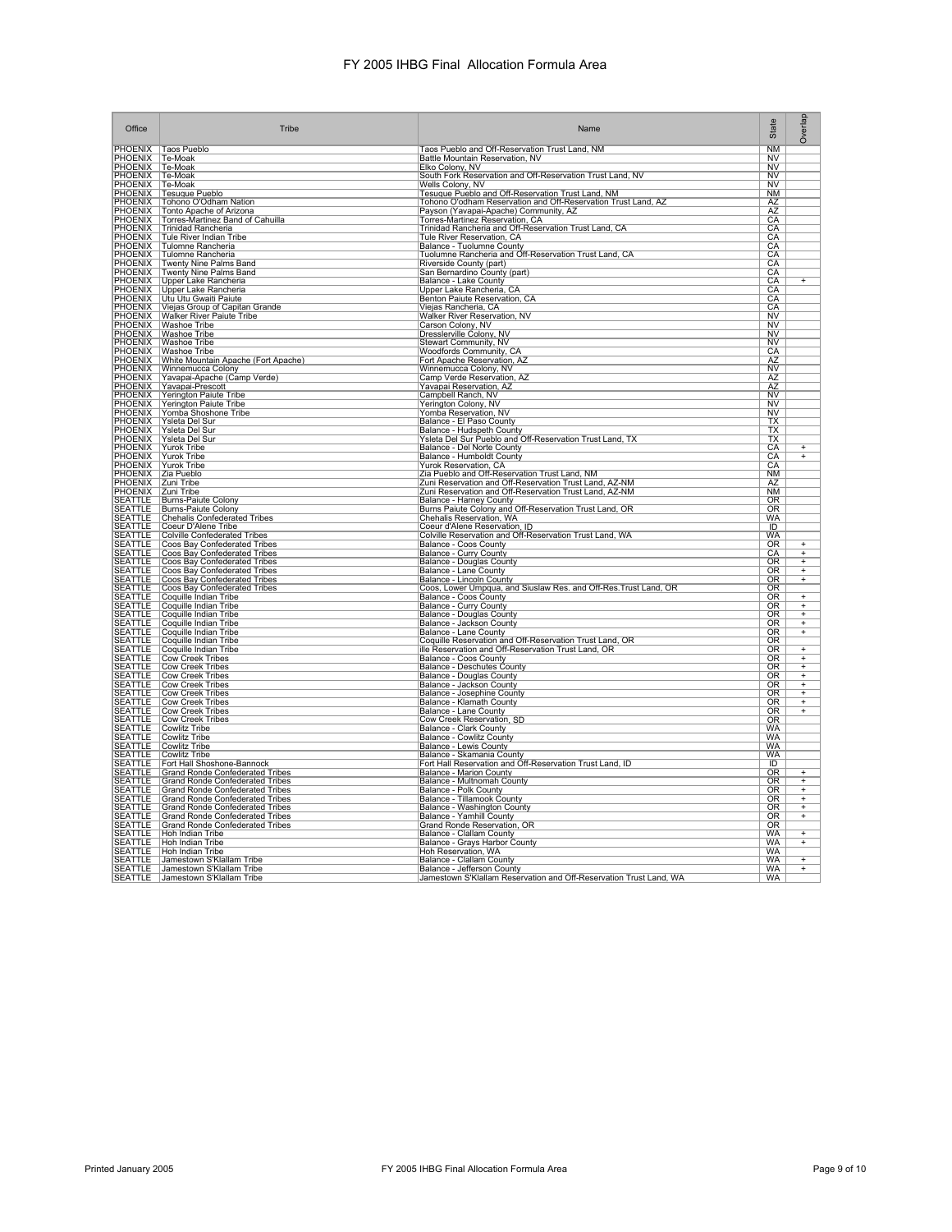| Office                                   | Tribe                                                                                                                                                                                                                                      | Name                                                                                                             | State                        | Overlap         |
|------------------------------------------|--------------------------------------------------------------------------------------------------------------------------------------------------------------------------------------------------------------------------------------------|------------------------------------------------------------------------------------------------------------------|------------------------------|-----------------|
|                                          |                                                                                                                                                                                                                                            | Taos Pueblo and Off-Reservation Trust Land, NM                                                                   | $\overline{\text{NM}}$       |                 |
|                                          |                                                                                                                                                                                                                                            | Battle Mountain Reservation, NV                                                                                  | <b>NV</b>                    |                 |
|                                          |                                                                                                                                                                                                                                            | Elko Colony, NV<br>South Fork Reservation and Off-Reservation Trust Land, NV                                     | N <sub>V</sub><br>NV         |                 |
|                                          | PHOENIX Taos Pueblo<br>PHOENIX Te-Moak<br>PHOENIX Te-Moak<br>PHOENIX Te-Moak<br>PHOENIX Tesuque Pueblo<br>PHOENIX Tesuque Pueblo<br>PHOENIX Tesuque Pueblo<br>PHOENIX Tento Angeha of Arizona                                              | Wells Colony, NV                                                                                                 | N <sub>V</sub>               |                 |
|                                          |                                                                                                                                                                                                                                            | Tesuque Pueblo and Off-Reservation Trust Land, NM                                                                | <b>NM</b>                    |                 |
|                                          | PHOENIX   Tonto Apache of Arizona<br>PHOENIX   Tonto Apache of Arizona<br>PHOENIX   Torres-Martinez Band of Cahuilla<br>PHOENIX   Trinidad Rancheria<br>PHOENIX   Tulomne Rancheria<br>PHOENIX   Tulomne Rancheria<br>PHOENIX   Tulomne Ra | Tohono O'odham Reservation and Off-Reservation Trust Land, AZ<br>Payson (Yavapai-Apache) Community, AZ           | $\overline{AZ}$<br><u>AZ</u> |                 |
|                                          |                                                                                                                                                                                                                                            | Torres-Martinez Reservation, CA                                                                                  | CA                           |                 |
|                                          |                                                                                                                                                                                                                                            | Trinidad Rancheria and Off-Reservation Trust Land, CA                                                            | CA                           |                 |
|                                          |                                                                                                                                                                                                                                            | Tule River Reservation, CA                                                                                       | CA<br>CA                     |                 |
|                                          |                                                                                                                                                                                                                                            | Balance - Tuolumne County<br>Tuolumne Rancheria and Off-Reservation Trust Land, CA                               | CA                           |                 |
|                                          | <b>PHOENIX</b> Twenty Nine Palms Band                                                                                                                                                                                                      | Riverside County (part)<br>San Bernardino County (part)<br>Balance - Lake County                                 | CA                           |                 |
|                                          |                                                                                                                                                                                                                                            |                                                                                                                  | $\frac{CA}{CA}$              | Ŧ               |
|                                          | <b>PHOENIX Twenty Nine Palms Band<br/>PHOENIX   Upper Lake Rancheria<br/>PHOENIX   Upper Lake Rancheria<br/>PHOENIX   Upu Utu Gwaiti Paiute<br/>PHOENIX   Viejas Group of Capitan C</b>                                                    | Upper Lake Rancheria, CA                                                                                         | CA                           |                 |
|                                          |                                                                                                                                                                                                                                            | Benton Paiute Reservation, CA                                                                                    | CA                           |                 |
|                                          | Viejas Group of Capitan Grande<br>PHOENIX Walker River Paiute Tribe                                                                                                                                                                        | Viejas Rancheria, CA<br><b>Walker River Reservation, NV</b>                                                      | CA<br>$\overline{\text{NV}}$ |                 |
|                                          |                                                                                                                                                                                                                                            | Carson Colony, NV                                                                                                | NV                           |                 |
|                                          | <b>PHOENIX Watshoe Tribe<br/>PHOENIX Washoe Tribe<br/>PHOENIX Washoe Tribe<br/>PHOENIX Washoe Tribe</b>                                                                                                                                    | Dresslerville Colony, NV                                                                                         | NV                           |                 |
|                                          |                                                                                                                                                                                                                                            | Stewart Community, NV                                                                                            | $\overline{\text{NV}}$       |                 |
|                                          |                                                                                                                                                                                                                                            | Woodfords Community, CA<br>Fort Apache Reservation, AZ                                                           | CA<br>AZ                     |                 |
|                                          | PHOENIX Waster The Mundain Apache (Fort Apache)<br>PHOENIX Winnemucca Colony<br>PHOENIX Yavapai-Apache (Camp Verde)                                                                                                                        | Winnemucca Colony, NV                                                                                            | N <sub>V</sub>               |                 |
|                                          |                                                                                                                                                                                                                                            | Camp Verde Reservation, AZ                                                                                       | AZ                           |                 |
|                                          | <b>PHOENIX Payapai-Prescott</b><br>PHOENIX Yerington Paiute Tribe<br>PHOENIX Yerington Paiute Tribe<br>PHOENIX Yomba Shoshone Tribe                                                                                                        | Yavapai Reservation, AZ                                                                                          | <b>AZ</b>                    |                 |
|                                          |                                                                                                                                                                                                                                            | Campbell Ranch, NV<br>Yerington Colony, NV                                                                       | NV<br>N <sub>V</sub>         |                 |
|                                          |                                                                                                                                                                                                                                            | Yomba Reservation, NV                                                                                            | <b>NV</b>                    |                 |
|                                          | PHOENIX Yomba Shosho<br>PHOENIX Ysleta Del Sur<br>PHOENIX Ysleta Del Sur<br>PHOENIX Yurok Tribe<br>PHOENIX Yurok Tribe<br>PHOENIX Yurok Tribe<br>PHOENIX Yurok Tribe<br>PHOENIX 72.01 Tribe                                                | Balance - El Paso County                                                                                         | $\frac{TX}{TX}$              |                 |
|                                          |                                                                                                                                                                                                                                            | Balance - Hudspeth County<br>Ysleta Del Sur Pueblo and Off-Reservation Trust Land, TX                            | TX                           |                 |
|                                          |                                                                                                                                                                                                                                            | Balance - Del Norte County                                                                                       | CA                           | $\ddot{}$       |
|                                          |                                                                                                                                                                                                                                            | Balance - Humboldt County                                                                                        | CA                           | Ŧ               |
|                                          |                                                                                                                                                                                                                                            | Yurok Reservation, CA<br>Zia Pueblo and Off-Reservation Trust Land, NM                                           | CA<br><b>NM</b>              |                 |
|                                          |                                                                                                                                                                                                                                            |                                                                                                                  | AZ                           |                 |
| PHOENIX Zuni Tribe<br>PHOENIX Zuni Tribe |                                                                                                                                                                                                                                            | Zuni Reservation and Off-Reservation Trust Land, AZ-NM<br>Zuni Reservation and Off-Reservation Trust Land, AZ-NM | NM                           |                 |
| <b>SEATTLE</b>                           | <b>Burns-Paiute Colony</b>                                                                                                                                                                                                                 | <b>Balance - Harney County</b>                                                                                   | OR<br>OR                     |                 |
| <b>SEATTLE</b><br>SEATTLE                | Burns-Paiute Colony<br><b>Chehalis Confederated Tribes</b>                                                                                                                                                                                 | Burns Paiute Colony and Off-Reservation Trust Land, OR<br>Chehalis Reservation, WA                               | <b>WA</b>                    |                 |
| <b>SEATTLE</b>                           | Coeur D'Alene Tribe                                                                                                                                                                                                                        | Coeur d'Alene Reservation, ID                                                                                    | $\overline{ID}$              |                 |
| <b>SEATTLE</b>                           | <b>Colville Confederated Tribes</b>                                                                                                                                                                                                        | Colville Reservation and Off-Reservation Trust Land, WA                                                          | <b>WA</b>                    |                 |
| <b>SEATTLE</b><br><b>SEATTLE</b>         | <b>Coos Bay Confederated Tribes</b>                                                                                                                                                                                                        | Balance - Coos County<br>Balance - Curry County                                                                  | <b>OR</b><br>CA              | $\overline{+}$  |
| <b>SEATTLE</b>                           | Coos Bay Confederated Tribes<br>Coos Bay Confederated Tribes                                                                                                                                                                               | <b>Balance - Douglas County</b>                                                                                  | OR                           |                 |
| <b>SEATTLE</b>                           | Coos Bay Confederated Tribes<br> Coos Bay Confederated Tribes                                                                                                                                                                              | Balance - Lane County<br>Balance - Lincoln County                                                                | OR                           |                 |
| <b>SEATTLE</b><br><b>SEATTLE</b>         | <b>Coos Bay Confederated Tribes</b>                                                                                                                                                                                                        | Coos, Lower Umpqua, and Siuslaw Res. and Off-Res. Trust Land, OR                                                 | $\overline{OR}$<br><b>OR</b> |                 |
| <b>SEATTLE</b>                           | Coquille Indian Tribe                                                                                                                                                                                                                      | Balance - Coos County                                                                                            | <b>OR</b>                    | $+$             |
| SEATTLE<br>SEATTLE                       | Coquille Indian Tribe                                                                                                                                                                                                                      | Balance - Curry County<br>Balance - Douglas County                                                               | <b>OR</b>                    | $+$<br>+<br>+   |
| <b>SEATTLE</b>                           | Coquille Indian Tribe<br>Coquille Indian Tribe                                                                                                                                                                                             | Balance - Jackson County                                                                                         | OR<br>0R                     |                 |
| <b>SEATTLE</b>                           | Coquille Indian Tribe                                                                                                                                                                                                                      | Balance - Lane County                                                                                            | <b>OR</b>                    |                 |
| <b>SEATTLE</b>                           | Coquille Indian Tribe                                                                                                                                                                                                                      | Coquille Reservation and Off-Reservation Trust Land, OR                                                          | OR                           |                 |
| SEATTLE<br>SEATTLE                       | Coquille Indian Tribe                                                                                                                                                                                                                      | ille Reservation and Off-Reservation Trust Land, OR                                                              | <b>OR</b>                    | $+$ + $+$ + $+$ |
| SEATTLE                                  | Cow Creek Tribes<br><b>Cow Creek Tribes</b>                                                                                                                                                                                                | Balance - Coos County<br>Balance - Deschutes County                                                              | OR.<br>OR                    |                 |
| <b>SEATTLE</b>                           | <b>Cow Creek Tribes</b>                                                                                                                                                                                                                    | <b>Balance - Douglas County</b>                                                                                  | $\overline{\text{OR}}$       |                 |
| <b>SEATTLE</b>                           | <b>Cow Creek Tribes</b>                                                                                                                                                                                                                    | Balance - Jackson County                                                                                         | OR                           |                 |
| SEATTLE<br>SEATTLE                       | <b>Cow Creek Tribes</b><br><b>Cow Creek Tribes</b>                                                                                                                                                                                         | Balance - Josephine County<br>Balance - Klamath County                                                           | <b>OR</b><br>OR              |                 |
| <b>SEATTLE</b>                           | <b>Cow Creek Tribes</b>                                                                                                                                                                                                                    | <b>Balance - Lane County</b>                                                                                     | OR                           | $+$             |
| SEATTLE                                  | <b>Cow Creek Tribes</b>                                                                                                                                                                                                                    | Cow Creek Reservation, SD<br>Balance - Clark County                                                              | OR                           |                 |
| <b>SEATTLE</b><br><b>SEATTLE</b>         | Cowlitz Tribe<br><b>Cowlitz Tribe</b>                                                                                                                                                                                                      | <b>Balance - Cowlitz County</b>                                                                                  | <b>WA</b><br><b>WA</b>       |                 |
| <b>SEATTLE</b>                           | <b>Cowlitz Tribe</b>                                                                                                                                                                                                                       | <b>Balance - Lewis County</b>                                                                                    | WA                           |                 |
| <b>SEATTLE</b>                           | <b>Cowlitz Tribe</b>                                                                                                                                                                                                                       | Balance - Skamania County<br>Fort Hall Reservation and Off-Reservation Trust Land, ID                            | <b>WA</b>                    |                 |
| <b>SEATTLE</b>                           | Fort Hall Shoshone-Bannock                                                                                                                                                                                                                 |                                                                                                                  | $\overline{ID}$              |                 |
| <b>SEATTLE</b><br><b>SEATTLE</b>         | <b>Grand Ronde Confederated Tribes</b>                                                                                                                                                                                                     | Balance - Marion County<br>Balance - Multnomah County                                                            | OR<br><b>OR</b>              | $^{+}$          |
| <b>SEATTLE</b>                           | Grand Ronde Confederated Tribes<br>Grand Ronde Confederated Tribes                                                                                                                                                                         | Balance - Polk County                                                                                            | OR                           | $\frac{+}{+}$   |
| <b>SEATTLE</b>                           | <b>Grand Ronde Confederated Tribes</b>                                                                                                                                                                                                     | <b>Balance - Tillamook County</b>                                                                                | $\overline{\text{OR}}$       | $+$             |
| <b>SEATTLE</b><br><b>SEATTLE</b>         | <b>Grand Ronde Confederated Tribes</b><br><b>Grand Ronde Confederated Tribes</b>                                                                                                                                                           | Balance - Washington County<br>Balance - Yamhill County                                                          | OR<br><b>OR</b>              | $\frac{+}{+}$   |
| <b>SEATTLE</b>                           | <b>Grand Ronde Confederated Tribes</b>                                                                                                                                                                                                     | Grand Ronde Reservation, OR                                                                                      | OR                           |                 |
| SEATTLE                                  | Hoh Indian Tribe                                                                                                                                                                                                                           | Balance - Clallam County                                                                                         | WA                           | $\ddot{}$       |
| <b>SEATTLE</b>                           | Hoh Indian Tribe                                                                                                                                                                                                                           | Balance - Grays Harbor County                                                                                    | <b>WA</b>                    | $\overline{+}$  |
| <b>SEATTLE</b><br>SEATTLE                | Hoh Indian Tribe<br>Jamestown S'Klallam Tribe                                                                                                                                                                                              | Hoh Reservation, WA<br>Balance - Clallam County                                                                  | <b>WA</b><br><b>WA</b>       | $\overline{+}$  |
| <b>SEATTLE</b>                           | Jamestown S'Klallam Tribe                                                                                                                                                                                                                  | Balance - Jefferson County                                                                                       | <b>WA</b>                    | $+$             |
| <b>SEATTLE</b>                           | Jamestown S'Klallam Tribe                                                                                                                                                                                                                  | Jamestown S'Klallam Reservation and Off-Reservation Trust Land, WA                                               | <b>WA</b>                    |                 |